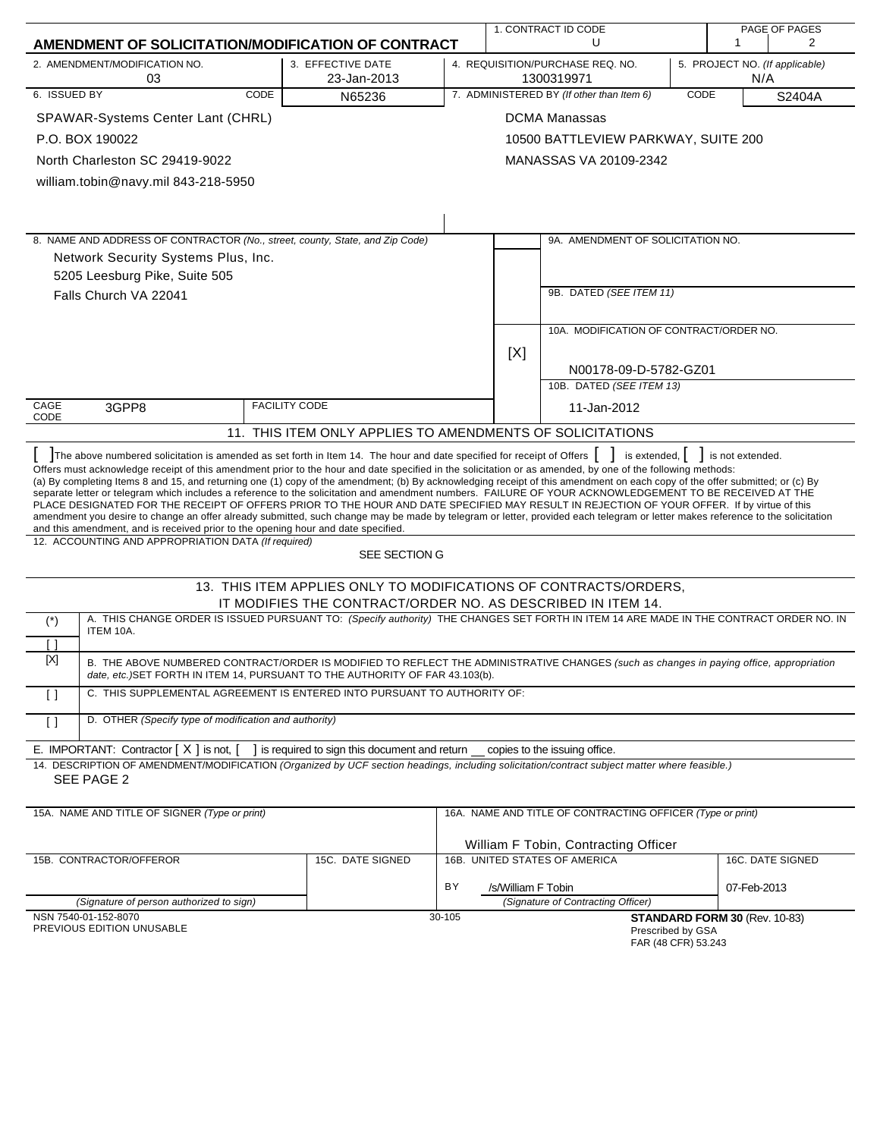|                                                                                                                                                                                                                                                                                                                                                                                                                                                                                                                                                                                                                                                                                                                                                                                                                                                                                                                                                                                                                                                      | 1. CONTRACT ID CODE                                                                                                             |        |                    | PAGE OF PAGES                                               |  |                                       |                  |
|------------------------------------------------------------------------------------------------------------------------------------------------------------------------------------------------------------------------------------------------------------------------------------------------------------------------------------------------------------------------------------------------------------------------------------------------------------------------------------------------------------------------------------------------------------------------------------------------------------------------------------------------------------------------------------------------------------------------------------------------------------------------------------------------------------------------------------------------------------------------------------------------------------------------------------------------------------------------------------------------------------------------------------------------------|---------------------------------------------------------------------------------------------------------------------------------|--------|--------------------|-------------------------------------------------------------|--|---------------------------------------|------------------|
| AMENDMENT OF SOLICITATION/MODIFICATION OF CONTRACT                                                                                                                                                                                                                                                                                                                                                                                                                                                                                                                                                                                                                                                                                                                                                                                                                                                                                                                                                                                                   |                                                                                                                                 |        |                    | U                                                           |  | 1                                     | 2                |
| 2. AMENDMENT/MODIFICATION NO.<br>03                                                                                                                                                                                                                                                                                                                                                                                                                                                                                                                                                                                                                                                                                                                                                                                                                                                                                                                                                                                                                  | 3. EFFECTIVE DATE<br>23-Jan-2013                                                                                                |        |                    | 4. REQUISITION/PURCHASE REQ. NO.<br>1300319971              |  | 5. PROJECT NO. (If applicable)<br>N/A |                  |
| 6. ISSUED BY<br>CODE                                                                                                                                                                                                                                                                                                                                                                                                                                                                                                                                                                                                                                                                                                                                                                                                                                                                                                                                                                                                                                 | N65236                                                                                                                          |        |                    | 7. ADMINISTERED BY (If other than Item 6)<br>CODE<br>S2404A |  |                                       |                  |
| SPAWAR-Systems Center Lant (CHRL)                                                                                                                                                                                                                                                                                                                                                                                                                                                                                                                                                                                                                                                                                                                                                                                                                                                                                                                                                                                                                    |                                                                                                                                 |        |                    | <b>DCMA Manassas</b>                                        |  |                                       |                  |
| P.O. BOX 190022                                                                                                                                                                                                                                                                                                                                                                                                                                                                                                                                                                                                                                                                                                                                                                                                                                                                                                                                                                                                                                      |                                                                                                                                 |        |                    | 10500 BATTLEVIEW PARKWAY, SUITE 200                         |  |                                       |                  |
| North Charleston SC 29419-9022                                                                                                                                                                                                                                                                                                                                                                                                                                                                                                                                                                                                                                                                                                                                                                                                                                                                                                                                                                                                                       |                                                                                                                                 |        |                    | MANASSAS VA 20109-2342                                      |  |                                       |                  |
| william.tobin@navy.mil 843-218-5950                                                                                                                                                                                                                                                                                                                                                                                                                                                                                                                                                                                                                                                                                                                                                                                                                                                                                                                                                                                                                  |                                                                                                                                 |        |                    |                                                             |  |                                       |                  |
|                                                                                                                                                                                                                                                                                                                                                                                                                                                                                                                                                                                                                                                                                                                                                                                                                                                                                                                                                                                                                                                      |                                                                                                                                 |        |                    |                                                             |  |                                       |                  |
|                                                                                                                                                                                                                                                                                                                                                                                                                                                                                                                                                                                                                                                                                                                                                                                                                                                                                                                                                                                                                                                      |                                                                                                                                 |        |                    |                                                             |  |                                       |                  |
| 8. NAME AND ADDRESS OF CONTRACTOR (No., street, county, State, and Zip Code)                                                                                                                                                                                                                                                                                                                                                                                                                                                                                                                                                                                                                                                                                                                                                                                                                                                                                                                                                                         |                                                                                                                                 |        |                    | 9A. AMENDMENT OF SOLICITATION NO.                           |  |                                       |                  |
| Network Security Systems Plus, Inc.                                                                                                                                                                                                                                                                                                                                                                                                                                                                                                                                                                                                                                                                                                                                                                                                                                                                                                                                                                                                                  |                                                                                                                                 |        |                    |                                                             |  |                                       |                  |
| 5205 Leesburg Pike, Suite 505                                                                                                                                                                                                                                                                                                                                                                                                                                                                                                                                                                                                                                                                                                                                                                                                                                                                                                                                                                                                                        |                                                                                                                                 |        |                    |                                                             |  |                                       |                  |
| Falls Church VA 22041                                                                                                                                                                                                                                                                                                                                                                                                                                                                                                                                                                                                                                                                                                                                                                                                                                                                                                                                                                                                                                |                                                                                                                                 |        |                    | 9B. DATED (SEE ITEM 11)                                     |  |                                       |                  |
|                                                                                                                                                                                                                                                                                                                                                                                                                                                                                                                                                                                                                                                                                                                                                                                                                                                                                                                                                                                                                                                      |                                                                                                                                 |        |                    | 10A. MODIFICATION OF CONTRACT/ORDER NO.                     |  |                                       |                  |
|                                                                                                                                                                                                                                                                                                                                                                                                                                                                                                                                                                                                                                                                                                                                                                                                                                                                                                                                                                                                                                                      |                                                                                                                                 |        | [X]                |                                                             |  |                                       |                  |
|                                                                                                                                                                                                                                                                                                                                                                                                                                                                                                                                                                                                                                                                                                                                                                                                                                                                                                                                                                                                                                                      |                                                                                                                                 |        |                    | N00178-09-D-5782-GZ01                                       |  |                                       |                  |
|                                                                                                                                                                                                                                                                                                                                                                                                                                                                                                                                                                                                                                                                                                                                                                                                                                                                                                                                                                                                                                                      |                                                                                                                                 |        |                    | 10B. DATED (SEE ITEM 13)                                    |  |                                       |                  |
| CAGE<br>3GPP8<br>CODE                                                                                                                                                                                                                                                                                                                                                                                                                                                                                                                                                                                                                                                                                                                                                                                                                                                                                                                                                                                                                                | <b>FACILITY CODE</b>                                                                                                            |        |                    | 11-Jan-2012                                                 |  |                                       |                  |
|                                                                                                                                                                                                                                                                                                                                                                                                                                                                                                                                                                                                                                                                                                                                                                                                                                                                                                                                                                                                                                                      | 11. THIS ITEM ONLY APPLIES TO AMENDMENTS OF SOLICITATIONS                                                                       |        |                    |                                                             |  |                                       |                  |
| The above numbered solicitation is amended as set forth in Item 14. The hour and date specified for receipt of Offers<br>Offers must acknowledge receipt of this amendment prior to the hour and date specified in the solicitation or as amended, by one of the following methods:<br>(a) By completing Items 8 and 15, and returning one (1) copy of the amendment; (b) By acknowledging receipt of this amendment on each copy of the offer submitted; or (c) By<br>separate letter or telegram which includes a reference to the solicitation and amendment numbers. FAILURE OF YOUR ACKNOWLEDGEMENT TO BE RECEIVED AT THE<br>PLACE DESIGNATED FOR THE RECEIPT OF OFFERS PRIOR TO THE HOUR AND DATE SPECIFIED MAY RESULT IN REJECTION OF YOUR OFFER. If by virtue of this<br>amendment you desire to change an offer already submitted, such change may be made by telegram or letter, provided each telegram or letter makes reference to the solicitation<br>and this amendment, and is received prior to the opening hour and date specified. |                                                                                                                                 |        |                    | is extended,                                                |  | is not extended.                      |                  |
| 12. ACCOUNTING AND APPROPRIATION DATA (If required)                                                                                                                                                                                                                                                                                                                                                                                                                                                                                                                                                                                                                                                                                                                                                                                                                                                                                                                                                                                                  | SEE SECTION G                                                                                                                   |        |                    |                                                             |  |                                       |                  |
|                                                                                                                                                                                                                                                                                                                                                                                                                                                                                                                                                                                                                                                                                                                                                                                                                                                                                                                                                                                                                                                      | 13. THIS ITEM APPLIES ONLY TO MODIFICATIONS OF CONTRACTS/ORDERS,<br>IT MODIFIES THE CONTRACT/ORDER NO. AS DESCRIBED IN ITEM 14. |        |                    |                                                             |  |                                       |                  |
| A. THIS CHANGE ORDER IS ISSUED PURSUANT TO: (Specify authority) THE CHANGES SET FORTH IN ITEM 14 ARE MADE IN THE CONTRACT ORDER NO. IN<br>$(\dot{\phantom{a}})$                                                                                                                                                                                                                                                                                                                                                                                                                                                                                                                                                                                                                                                                                                                                                                                                                                                                                      |                                                                                                                                 |        |                    |                                                             |  |                                       |                  |
| ITEM 10A.<br>Γl                                                                                                                                                                                                                                                                                                                                                                                                                                                                                                                                                                                                                                                                                                                                                                                                                                                                                                                                                                                                                                      |                                                                                                                                 |        |                    |                                                             |  |                                       |                  |
| $[{\sf X}]$<br>B. THE ABOVE NUMBERED CONTRACT/ORDER IS MODIFIED TO REFLECT THE ADMINISTRATIVE CHANGES (such as changes in paying office, appropriation<br>date, etc.) SET FORTH IN ITEM 14, PURSUANT TO THE AUTHORITY OF FAR 43.103(b).                                                                                                                                                                                                                                                                                                                                                                                                                                                                                                                                                                                                                                                                                                                                                                                                              |                                                                                                                                 |        |                    |                                                             |  |                                       |                  |
| C. THIS SUPPLEMENTAL AGREEMENT IS ENTERED INTO PURSUANT TO AUTHORITY OF:<br>$\Box$                                                                                                                                                                                                                                                                                                                                                                                                                                                                                                                                                                                                                                                                                                                                                                                                                                                                                                                                                                   |                                                                                                                                 |        |                    |                                                             |  |                                       |                  |
| D. OTHER (Specify type of modification and authority)<br>$\left[ \ \right]$                                                                                                                                                                                                                                                                                                                                                                                                                                                                                                                                                                                                                                                                                                                                                                                                                                                                                                                                                                          |                                                                                                                                 |        |                    |                                                             |  |                                       |                  |
| E. IMPORTANT: Contractor $[X]$ is not, $\begin{bmatrix} 1 \\ 1 \end{bmatrix}$ is required to sign this document and return copies to the issuing office.                                                                                                                                                                                                                                                                                                                                                                                                                                                                                                                                                                                                                                                                                                                                                                                                                                                                                             |                                                                                                                                 |        |                    |                                                             |  |                                       |                  |
| 14. DESCRIPTION OF AMENDMENT/MODIFICATION (Organized by UCF section headings, including solicitation/contract subject matter where feasible.)<br>SEE PAGE 2                                                                                                                                                                                                                                                                                                                                                                                                                                                                                                                                                                                                                                                                                                                                                                                                                                                                                          |                                                                                                                                 |        |                    |                                                             |  |                                       |                  |
| 15A. NAME AND TITLE OF SIGNER (Type or print)                                                                                                                                                                                                                                                                                                                                                                                                                                                                                                                                                                                                                                                                                                                                                                                                                                                                                                                                                                                                        |                                                                                                                                 |        |                    | 16A. NAME AND TITLE OF CONTRACTING OFFICER (Type or print)  |  |                                       |                  |
|                                                                                                                                                                                                                                                                                                                                                                                                                                                                                                                                                                                                                                                                                                                                                                                                                                                                                                                                                                                                                                                      |                                                                                                                                 |        |                    | William F Tobin, Contracting Officer                        |  |                                       |                  |
| 15B. CONTRACTOR/OFFEROR                                                                                                                                                                                                                                                                                                                                                                                                                                                                                                                                                                                                                                                                                                                                                                                                                                                                                                                                                                                                                              | 15C. DATE SIGNED                                                                                                                |        |                    | 16B. UNITED STATES OF AMERICA                               |  |                                       | 16C. DATE SIGNED |
|                                                                                                                                                                                                                                                                                                                                                                                                                                                                                                                                                                                                                                                                                                                                                                                                                                                                                                                                                                                                                                                      |                                                                                                                                 | BY     | /s/William F Tobin |                                                             |  | 07-Feb-2013                           |                  |
| (Signature of person authorized to sign)                                                                                                                                                                                                                                                                                                                                                                                                                                                                                                                                                                                                                                                                                                                                                                                                                                                                                                                                                                                                             |                                                                                                                                 |        |                    | (Signature of Contracting Officer)                          |  |                                       |                  |
| NSN 7540-01-152-8070                                                                                                                                                                                                                                                                                                                                                                                                                                                                                                                                                                                                                                                                                                                                                                                                                                                                                                                                                                                                                                 |                                                                                                                                 | 30-105 |                    |                                                             |  | STANDARD FORM 30 (Rev. 10-83)         |                  |
| PREVIOUS EDITION UNUSABLE                                                                                                                                                                                                                                                                                                                                                                                                                                                                                                                                                                                                                                                                                                                                                                                                                                                                                                                                                                                                                            |                                                                                                                                 |        |                    | Prescribed by GSA<br>FAR (48 CFR) 53.243                    |  |                                       |                  |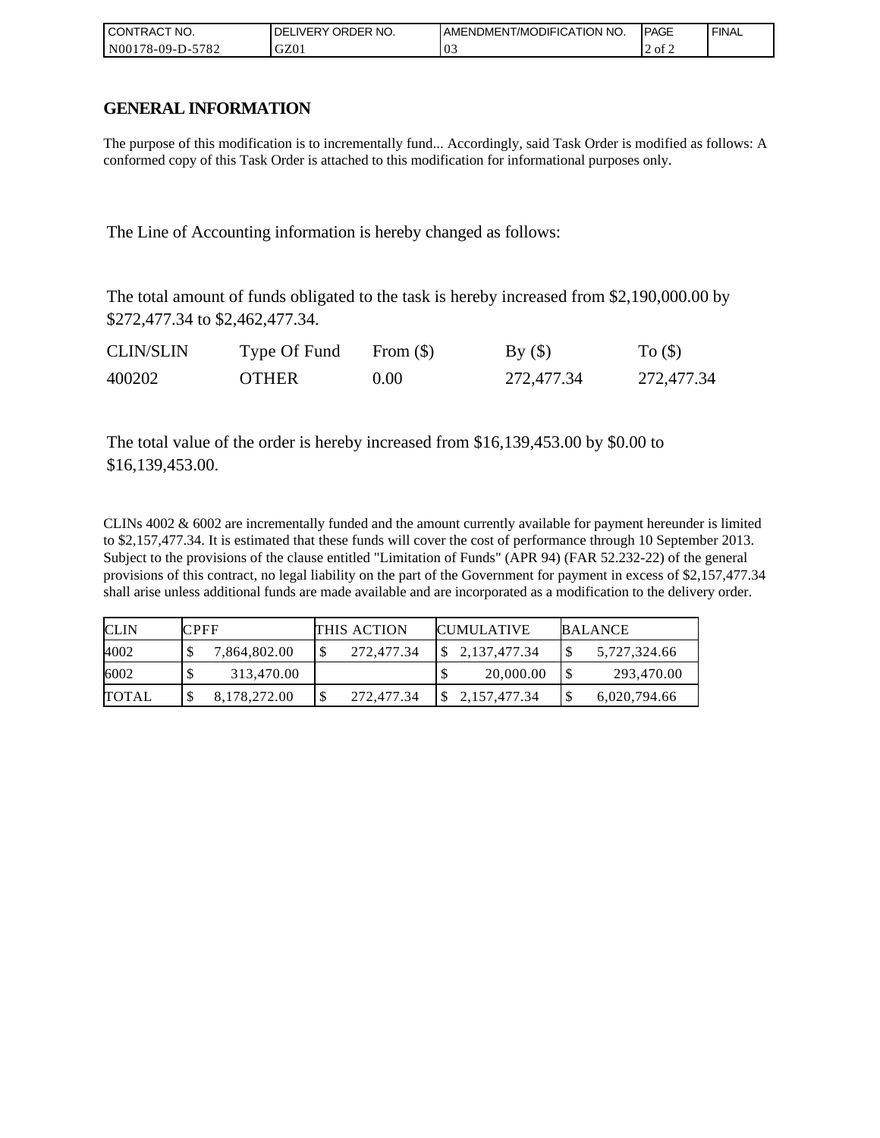| l CON <sup>-</sup><br>TRACT NO. | <b>ORDER</b><br>NO.<br>DELI<br>IVERY | AMENDMENT/MODIFICATION NO. | <b>IPAGE</b> | ' FINAL |
|---------------------------------|--------------------------------------|----------------------------|--------------|---------|
| N00178-0<br>5782<br>-09-D-:     | GZ01                                 | 03                         | 2 of 2       |         |

## **GENERAL INFORMATION**

The purpose of this modification is to incrementally fund... Accordingly, said Task Order is modified as follows: A conformed copy of this Task Order is attached to this modification for informational purposes only.

The Line of Accounting information is hereby changed as follows:

The total amount of funds obligated to the task is hereby increased from \$2,190,000.00 by \$272,477.34 to \$2,462,477.34.

| <b>CLIN/SLIN</b> | Type Of Fund | From $(\$)$ | By()       | To $($ )   |
|------------------|--------------|-------------|------------|------------|
| 400202           | <b>OTHER</b> | 0.00        | 272,477.34 | 272,477.34 |

The total value of the order is hereby increased from \$16,139,453.00 by \$0.00 to \$16,139,453.00.

CLINs 4002 & 6002 are incrementally funded and the amount currently available for payment hereunder is limited to \$2,157,477.34. It is estimated that these funds will cover the cost of performance through 10 September 2013. Subject to the provisions of the clause entitled "Limitation of Funds" (APR 94) (FAR 52.232-22) of the general provisions of this contract, no legal liability on the part of the Government for payment in excess of \$2,157,477.34 shall arise unless additional funds are made available and are incorporated as a modification to the delivery order.

| <b>CLIN</b>  | <b>CPFF</b> |              | <b>THIS ACTION</b> | <b>CUMULATIVE</b> | BALANCE      |
|--------------|-------------|--------------|--------------------|-------------------|--------------|
| 4002         |             | 7,864,802.00 | 272,477.34         | \$2,137,477.34    | 5,727,324.66 |
| 6002         |             | 313,470.00   |                    | 20,000.00         | 293,470.00   |
| <b>TOTAL</b> |             | 8,178,272.00 | 272,477.34         | 2,157,477.34      | 6,020,794.66 |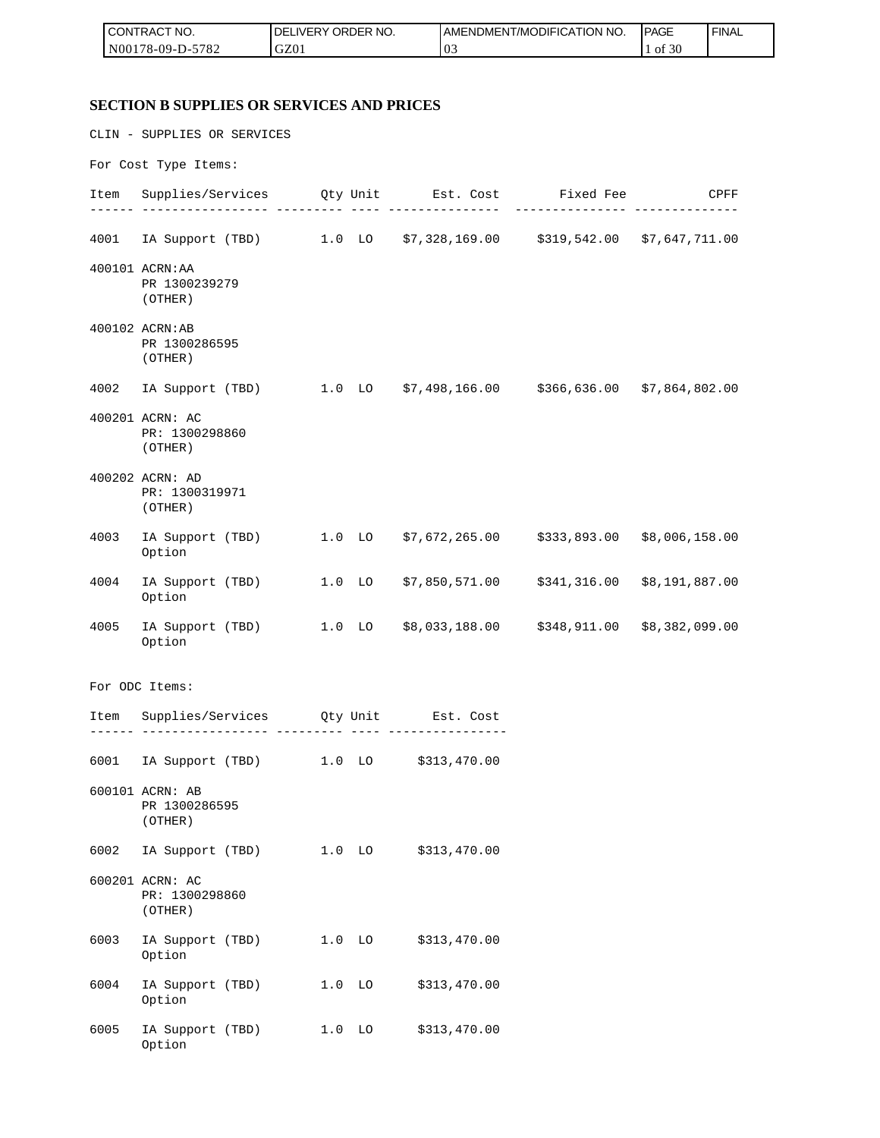| I CONTRACT NO.          | NO.<br>DELIVERY ORDER I | <b>IT/MODIFICATION NO.</b><br>I AMENDMEN I | <b>PAGE</b> | ' FINAL |
|-------------------------|-------------------------|--------------------------------------------|-------------|---------|
| 5782<br>$N00178-09-D-5$ | GZ01                    | '03                                        | f 30<br>-01 |         |

#### **SECTION B SUPPLIES OR SERVICES AND PRICES**

Option

CLIN - SUPPLIES OR SERVICES For Cost Type Items: Item Supplies/Services Qty Unit Est. Cost Fixed Fee CPFF ------ ----------------- --------- ---- --------------- --------------- -------------- 4001 IA Support (TBD) 1.0 LO \$7,328,169.00 \$319,542.00 \$7,647,711.00 400101 ACRN:AA PR 1300239279 (OTHER) 400102 ACRN:AB PR 1300286595 (OTHER) 4002 IA Support (TBD) 1.0 LO \$7,498,166.00 \$366,636.00 \$7,864,802.00 400201 ACRN: AC PR: 1300298860 (OTHER) 400202 ACRN: AD PR: 1300319971 (OTHER) 4003 IA Support (TBD) 1.0 LO \$7,672,265.00 \$333,893.00 \$8,006,158.00 Option 4004 IA Support (TBD) 1.0 LO \$7,850,571.00 \$341,316.00 \$8,191,887.00 Option 4005 IA Support (TBD) 1.0 LO \$8,033,188.00 \$348,911.00 \$8,382,099.00 Option For ODC Items: Item Supplies/Services Qty Unit Est. Cost ------ ----------------- --------- ---- ---------------- 6001 IA Support (TBD) 1.0 LO \$313,470.00 600101 ACRN: AB PR 1300286595 (OTHER) 6002 IA Support (TBD) 1.0 LO \$313,470.00 600201 ACRN: AC PR: 1300298860 (OTHER) 6003 IA Support (TBD) 1.0 LO \$313,470.00 Option 6004 IA Support (TBD) 1.0 LO \$313,470.00 Option 6005 IA Support (TBD) 1.0 LO \$313,470.00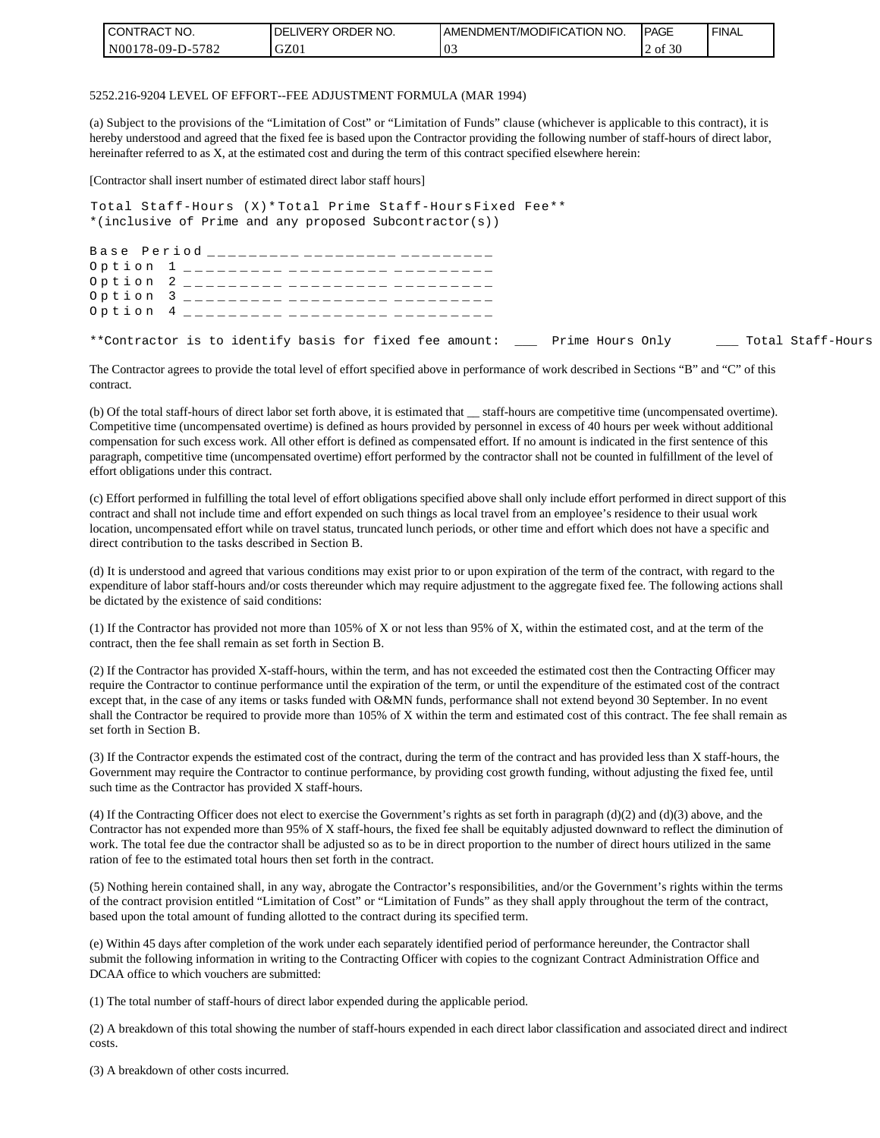| <b>ICONTRACT NO.</b>    | NO.<br>I DELIVERY ORDER | <b>I AMENDMENT/MODIFICATION NO.</b> | <b>IPAGE</b> | ' FINAL |
|-------------------------|-------------------------|-------------------------------------|--------------|---------|
| 5782<br>$N00178-09-D-5$ | GZ01                    | $\sim$<br>'UJ                       | 2 of 30      |         |

#### 5252.216-9204 LEVEL OF EFFORT--FEE ADJUSTMENT FORMULA (MAR 1994)

(a) Subject to the provisions of the "Limitation of Cost" or "Limitation of Funds" clause (whichever is applicable to this contract), it is hereby understood and agreed that the fixed fee is based upon the Contractor providing the following number of staff-hours of direct labor, hereinafter referred to as X, at the estimated cost and during the term of this contract specified elsewhere herein:

[Contractor shall insert number of estimated direct labor staff hours]

Total Staff-Hours (X)\* Total Prime Staff-Hours Fixed Fee\*\* \*(inclusive of Prime and any proposed Subcontractor(s))

Base Period \_\_\_\_\_\_\_\_\_ \_\_\_\_\_\_\_\_\_ \_\_\_\_\_\_ Option 1 \_\_\_\_\_\_\_\_\_ \_\_\_\_\_\_\_\_\_ \_\_\_\_\_\_\_ Option 2 \_\_\_\_\_\_\_\_\_ \_\_\_\_\_\_\_\_\_ \_\_\_\_\_\_ Option 3 \_\_\_\_\_\_\_\_\_ \_\_\_\_\_\_\_\_\_ \_\_\_\_\_\_\_\_\_ Option 4 \_\_\_\_\_\_\_\_\_ \_\_\_\_\_\_\_\_\_ \_\_\_\_\_\_\_\_\_

\*\*Contractor is to identify basis for fixed fee amount: \_\_\_ Prime Hours Only \_\_\_ Total Staff-Hours

The Contractor agrees to provide the total level of effort specified above in performance of work described in Sections "B" and "C" of this contract.

(b) Of the total staff-hours of direct labor set forth above, it is estimated that \_\_ staff-hours are competitive time (uncompensated overtime). Competitive time (uncompensated overtime) is defined as hours provided by personnel in excess of 40 hours per week without additional compensation for such excess work. All other effort is defined as compensated effort. If no amount is indicated in the first sentence of this paragraph, competitive time (uncompensated overtime) effort performed by the contractor shall not be counted in fulfillment of the level of effort obligations under this contract.

(c) Effort performed in fulfilling the total level of effort obligations specified above shall only include effort performed in direct support of this contract and shall not include time and effort expended on such things as local travel from an employee's residence to their usual work location, uncompensated effort while on travel status, truncated lunch periods, or other time and effort which does not have a specific and direct contribution to the tasks described in Section B.

(d) It is understood and agreed that various conditions may exist prior to or upon expiration of the term of the contract, with regard to the expenditure of labor staff-hours and/or costs thereunder which may require adjustment to the aggregate fixed fee. The following actions shall be dictated by the existence of said conditions:

(1) If the Contractor has provided not more than 105% of X or not less than 95% of X, within the estimated cost, and at the term of the contract, then the fee shall remain as set forth in Section B.

(2) If the Contractor has provided X-staff-hours, within the term, and has not exceeded the estimated cost then the Contracting Officer may require the Contractor to continue performance until the expiration of the term, or until the expenditure of the estimated cost of the contract except that, in the case of any items or tasks funded with O&MN funds, performance shall not extend beyond 30 September. In no event shall the Contractor be required to provide more than 105% of X within the term and estimated cost of this contract. The fee shall remain as set forth in Section B.

(3) If the Contractor expends the estimated cost of the contract, during the term of the contract and has provided less than X staff-hours, the Government may require the Contractor to continue performance, by providing cost growth funding, without adjusting the fixed fee, until such time as the Contractor has provided X staff-hours.

(4) If the Contracting Officer does not elect to exercise the Government's rights as set forth in paragraph (d)(2) and (d)(3) above, and the Contractor has not expended more than 95% of X staff-hours, the fixed fee shall be equitably adjusted downward to reflect the diminution of work. The total fee due the contractor shall be adjusted so as to be in direct proportion to the number of direct hours utilized in the same ration of fee to the estimated total hours then set forth in the contract.

(5) Nothing herein contained shall, in any way, abrogate the Contractor's responsibilities, and/or the Government's rights within the terms of the contract provision entitled "Limitation of Cost" or "Limitation of Funds" as they shall apply throughout the term of the contract, based upon the total amount of funding allotted to the contract during its specified term.

(e) Within 45 days after completion of the work under each separately identified period of performance hereunder, the Contractor shall submit the following information in writing to the Contracting Officer with copies to the cognizant Contract Administration Office and DCAA office to which vouchers are submitted:

(1) The total number of staff-hours of direct labor expended during the applicable period.

(2) A breakdown of this total showing the number of staff-hours expended in each direct labor classification and associated direct and indirect costs.

(3) A breakdown of other costs incurred.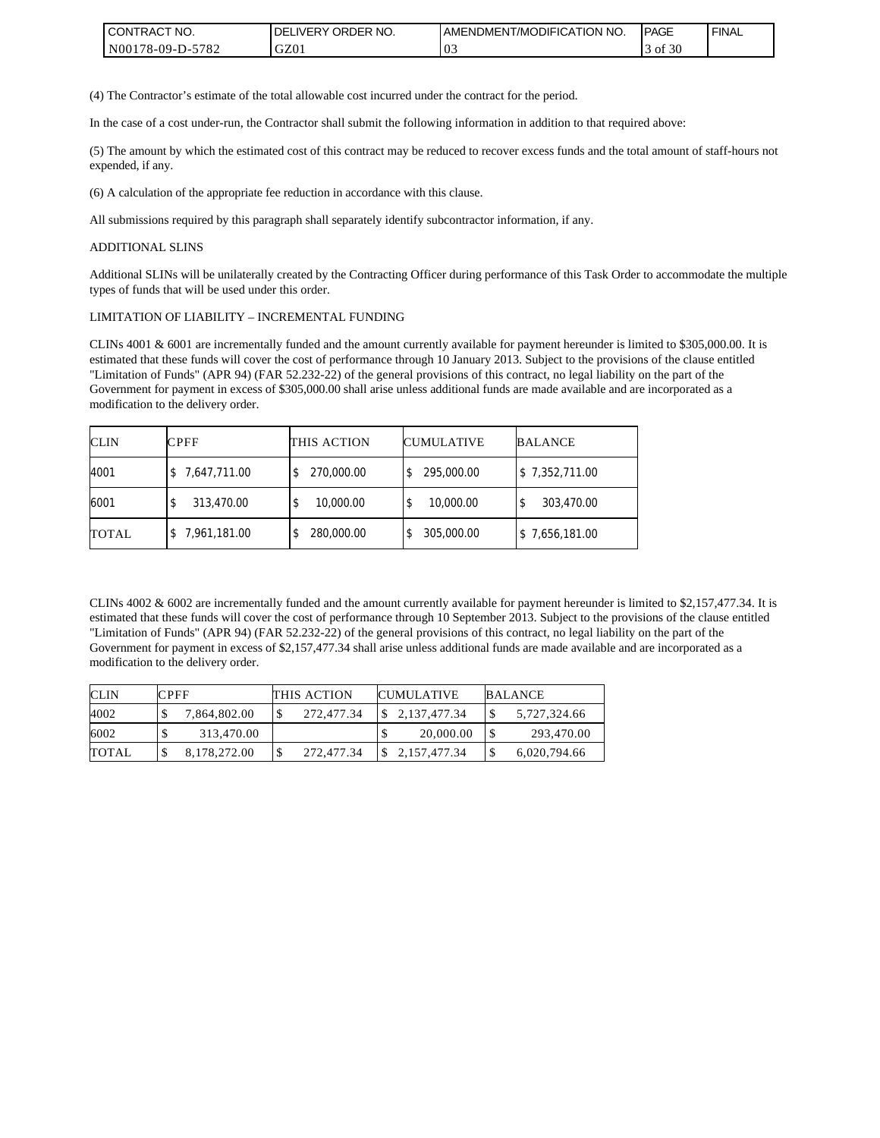| <b>I CONTRACT NO.</b> | <b>IDELIVERY ORDER NO.</b> | I AMENDMENT/MODIFICATION NO. | <b>IPAGE</b> | <b>FINAL</b> |
|-----------------------|----------------------------|------------------------------|--------------|--------------|
| IN00178-09-D-5782     | GZ01                       | v.                           | f 30<br>0Ī   |              |

(4) The Contractor's estimate of the total allowable cost incurred under the contract for the period.

In the case of a cost under-run, the Contractor shall submit the following information in addition to that required above:

(5) The amount by which the estimated cost of this contract may be reduced to recover excess funds and the total amount of staff-hours not expended, if any.

(6) A calculation of the appropriate fee reduction in accordance with this clause.

All submissions required by this paragraph shall separately identify subcontractor information, if any.

#### ADDITIONAL SLINS

Additional SLINs will be unilaterally created by the Contracting Officer during performance of this Task Order to accommodate the multiple types of funds that will be used under this order.

#### LIMITATION OF LIABILITY – INCREMENTAL FUNDING

CLINs 4001 & 6001 are incrementally funded and the amount currently available for payment hereunder is limited to \$305,000.00. It is estimated that these funds will cover the cost of performance through 10 January 2013. Subject to the provisions of the clause entitled "Limitation of Funds" (APR 94) (FAR 52.232-22) of the general provisions of this contract, no legal liability on the part of the Government for payment in excess of \$305,000.00 shall arise unless additional funds are made available and are incorporated as a modification to the delivery order.

| <b>CLIN</b>  | CPFF         | THIS ACTION    | <b>CUMULATIVE</b> | <b>BALANCE</b> |
|--------------|--------------|----------------|-------------------|----------------|
| 4001         | 7,647,711.00 | 270,000.00     | 295,000.00        | \$7,352,711.00 |
| 6001         | 313,470.00   | 10,000.00<br>ъ | 10,000.00         | 303,470.00     |
| <b>TOTAL</b> | 7,961,181.00 | 280,000.00     | 305,000.00        | \$7,656,181.00 |

CLINs 4002 & 6002 are incrementally funded and the amount currently available for payment hereunder is limited to \$2,157,477.34. It is estimated that these funds will cover the cost of performance through 10 September 2013. Subject to the provisions of the clause entitled "Limitation of Funds" (APR 94) (FAR 52.232-22) of the general provisions of this contract, no legal liability on the part of the Government for payment in excess of \$2,157,477.34 shall arise unless additional funds are made available and are incorporated as a modification to the delivery order.

| <b>CLIN</b> | <b>CPFF</b>  | <b>THIS ACTION</b> | <b>CUMULATIVE</b> | <b>BALANCE</b> |
|-------------|--------------|--------------------|-------------------|----------------|
| 4002        | 7,864,802.00 | 272.477.34         | 2,137,477.34      | 5,727,324.66   |
| 6002        | 313,470.00   |                    | 20,000.00         | 293.470.00     |
| TOTAL       | 8,178,272.00 | 272,477.34         | 2, 157, 477. 34   | 6,020,794.66   |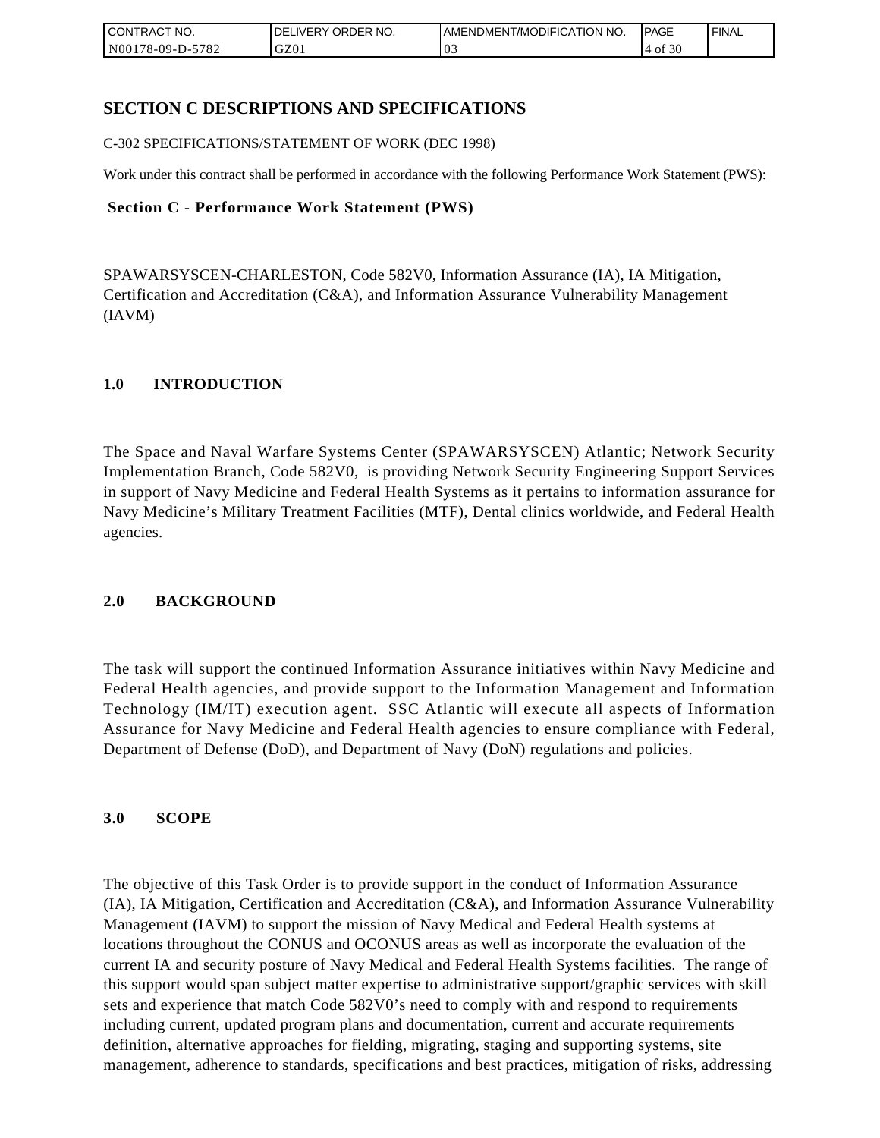| <b>CONTRACT NO.</b> | ' ORDER NO.<br><b>DELIVERY</b> | <b>JAMENDMENT/MODIFICATION NO.</b> | <b>PAGE</b>  | <b>FINAL</b> |
|---------------------|--------------------------------|------------------------------------|--------------|--------------|
| N00178-09-D-5782    | GZ01                           | U.,                                | f $30$<br>0Ī |              |

## **SECTION C DESCRIPTIONS AND SPECIFICATIONS**

C-302 SPECIFICATIONS/STATEMENT OF WORK (DEC 1998)

Work under this contract shall be performed in accordance with the following Performance Work Statement (PWS):

### **Section C - Performance Work Statement (PWS)**

SPAWARSYSCEN-CHARLESTON, Code 582V0, Information Assurance (IA), IA Mitigation, Certification and Accreditation (C&A), and Information Assurance Vulnerability Management (IAVM)

## **1.0 INTRODUCTION**

The Space and Naval Warfare Systems Center (SPAWARSYSCEN) Atlantic; Network Security Implementation Branch, Code 582V0, is providing Network Security Engineering Support Services in support of Navy Medicine and Federal Health Systems as it pertains to information assurance for Navy Medicine's Military Treatment Facilities (MTF), Dental clinics worldwide, and Federal Health agencies.

## **2.0 BACKGROUND**

The task will support the continued Information Assurance initiatives within Navy Medicine and Federal Health agencies, and provide support to the Information Management and Information Technology (IM/IT) execution agent. SSC Atlantic will execute all aspects of Information Assurance for Navy Medicine and Federal Health agencies to ensure compliance with Federal, Department of Defense (DoD), and Department of Navy (DoN) regulations and policies.

## **3.0 SCOPE**

The objective of this Task Order is to provide support in the conduct of Information Assurance (IA), IA Mitigation, Certification and Accreditation (C&A), and Information Assurance Vulnerability Management (IAVM) to support the mission of Navy Medical and Federal Health systems at locations throughout the CONUS and OCONUS areas as well as incorporate the evaluation of the current IA and security posture of Navy Medical and Federal Health Systems facilities. The range of this support would span subject matter expertise to administrative support/graphic services with skill sets and experience that match Code 582V0's need to comply with and respond to requirements including current, updated program plans and documentation, current and accurate requirements definition, alternative approaches for fielding, migrating, staging and supporting systems, site management, adherence to standards, specifications and best practices, mitigation of risks, addressing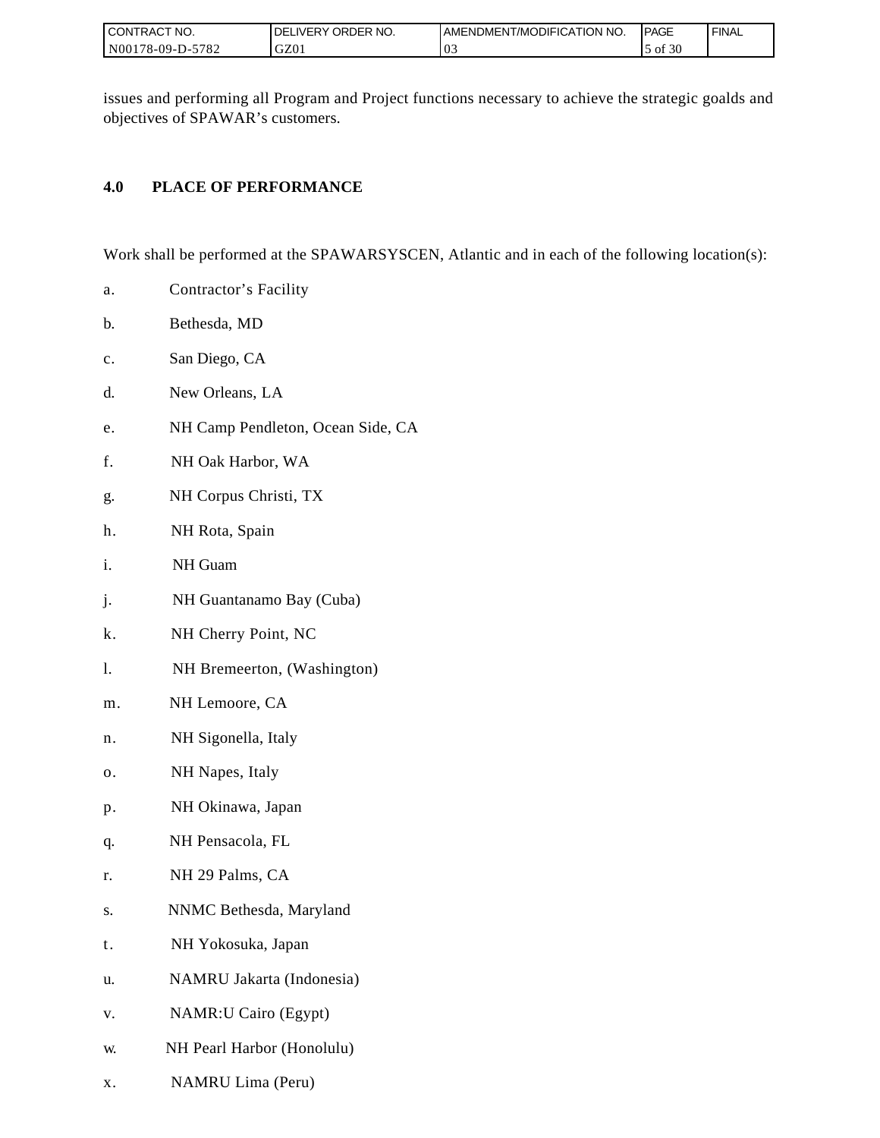| I CONTRACT NO.   | ORDER NO.<br><b>DELIVERY</b> | <b>IAMENDMENT/MODIFICATION NO.</b> | <b>IPAGE</b> | <b>FINAL</b> |
|------------------|------------------------------|------------------------------------|--------------|--------------|
| N00178-09-D-5782 | GZ01                         | $\Omega$<br>$\mathbf{v}$           | of 30        |              |

issues and performing all Program and Project functions necessary to achieve the strategic goalds and objectives of SPAWAR's customers.

## **4.0 PLACE OF PERFORMANCE**

Work shall be performed at the SPAWARSYSCEN, Atlantic and in each of the following location(s):

- a. Contractor's Facility
- b. Bethesda, MD
- c. San Diego, CA
- d. New Orleans, LA
- e. NH Camp Pendleton, Ocean Side, CA
- f. NH Oak Harbor, WA
- g. NH Corpus Christi, TX
- h. NH Rota, Spain
- i. NH Guam
- j. NH Guantanamo Bay (Cuba)
- k. NH Cherry Point, NC
- l. NH Bremeerton, (Washington)
- m. NH Lemoore, CA
- n. NH Sigonella, Italy
- o. NH Napes, Italy
- p. NH Okinawa, Japan
- q. NH Pensacola, FL
- r. NH 29 Palms, CA
- s. NNMC Bethesda, Maryland
- t. NH Yokosuka, Japan
- u. NAMRU Jakarta (Indonesia)
- v. NAMR:U Cairo (Egypt)
- w. NH Pearl Harbor (Honolulu)
- x. NAMRU Lima (Peru)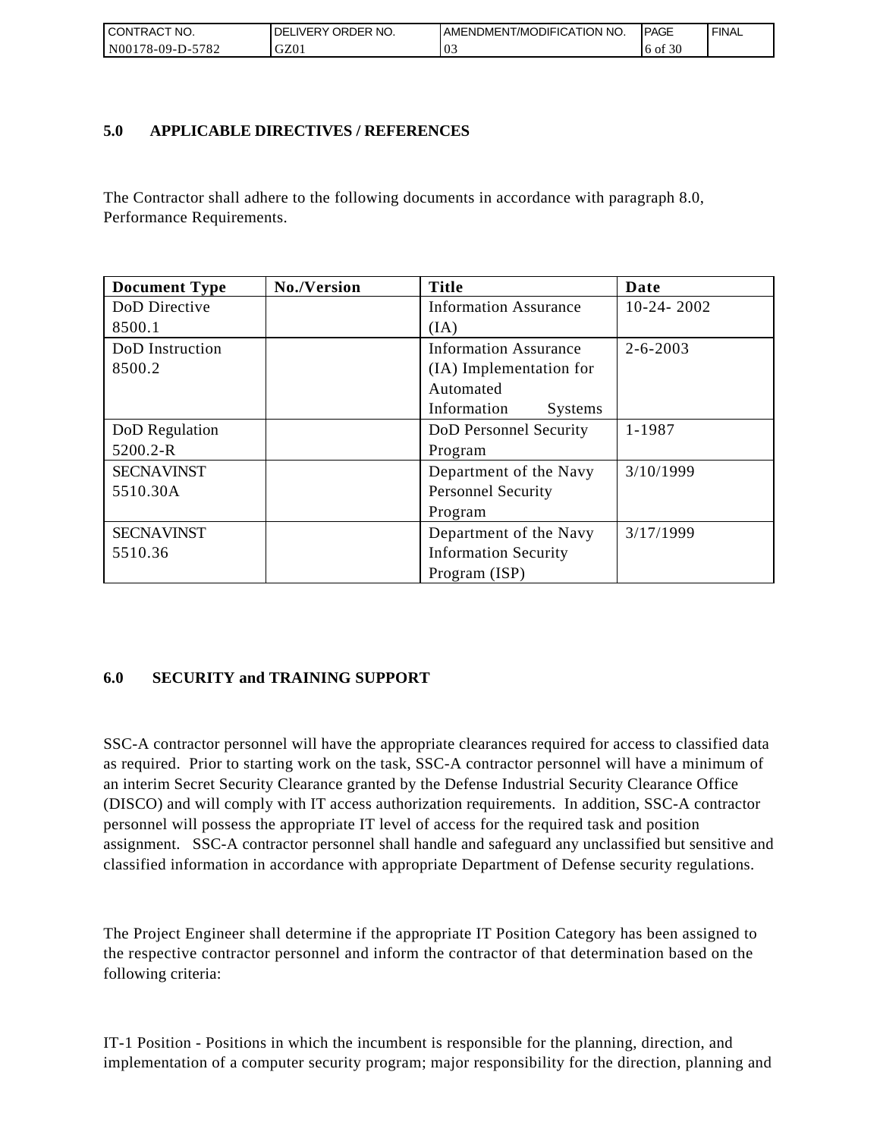| I CONTRACT NO.        | ORDER<br>NO.<br>DELI<br>.IVERY | AMENDMENT/MODIFICATION NO. | <b>IPAGE</b> | <b>FINAL</b> |
|-----------------------|--------------------------------|----------------------------|--------------|--------------|
| N00178-09-D-5<br>5782 | GZ01                           | $\sim$<br>$\mathbf{v}$ .   | 6 of 30      |              |

## **5.0 APPLICABLE DIRECTIVES / REFERENCES**

| CONTRACT NO.<br>N00178-09-D-5782 | DELIVERY ORDER NO.<br>GZ01                | AMENDMENT/MODIFICATION NO.<br>03                                                                                                                                                                                                                                                                                                                                                                                                                                                                                                                                                                                                                                                                                                  | <b>PAGE</b><br>6 of 30 | <b>FINAL</b> |
|----------------------------------|-------------------------------------------|-----------------------------------------------------------------------------------------------------------------------------------------------------------------------------------------------------------------------------------------------------------------------------------------------------------------------------------------------------------------------------------------------------------------------------------------------------------------------------------------------------------------------------------------------------------------------------------------------------------------------------------------------------------------------------------------------------------------------------------|------------------------|--------------|
|                                  |                                           |                                                                                                                                                                                                                                                                                                                                                                                                                                                                                                                                                                                                                                                                                                                                   |                        |              |
| 5.0                              | <b>APPLICABLE DIRECTIVES / REFERENCES</b> |                                                                                                                                                                                                                                                                                                                                                                                                                                                                                                                                                                                                                                                                                                                                   |                        |              |
| Performance Requirements.        |                                           | The Contractor shall adhere to the following documents in accordance with paragraph 8.0,                                                                                                                                                                                                                                                                                                                                                                                                                                                                                                                                                                                                                                          |                        |              |
| <b>Document Type</b>             | No./Version                               | <b>Title</b>                                                                                                                                                                                                                                                                                                                                                                                                                                                                                                                                                                                                                                                                                                                      | Date                   |              |
| DoD Directive<br>8500.1          |                                           | <b>Information Assurance</b><br>(IA)                                                                                                                                                                                                                                                                                                                                                                                                                                                                                                                                                                                                                                                                                              | $10-24-2002$           |              |
| DoD Instruction<br>8500.2        |                                           | <b>Information Assurance</b><br>(IA) Implementation for<br>Automated<br>Information<br><b>Systems</b>                                                                                                                                                                                                                                                                                                                                                                                                                                                                                                                                                                                                                             | $2 - 6 - 2003$         |              |
| DoD Regulation<br>5200.2-R       |                                           | DoD Personnel Security<br>Program                                                                                                                                                                                                                                                                                                                                                                                                                                                                                                                                                                                                                                                                                                 | 1-1987                 |              |
| <b>SECNAVINST</b><br>5510.30A    |                                           | Department of the Navy<br><b>Personnel Security</b><br>Program                                                                                                                                                                                                                                                                                                                                                                                                                                                                                                                                                                                                                                                                    | 3/10/1999              |              |
| <b>SECNAVINST</b><br>5510.36     |                                           | Department of the Navy<br><b>Information Security</b><br>Program (ISP)                                                                                                                                                                                                                                                                                                                                                                                                                                                                                                                                                                                                                                                            | 3/17/1999              |              |
| 6.0                              | <b>SECURITY and TRAINING SUPPORT</b>      | SSC-A contractor personnel will have the appropriate clearances required for access to classified data<br>as required. Prior to starting work on the task, SSC-A contractor personnel will have a minimum of<br>an interim Secret Security Clearance granted by the Defense Industrial Security Clearance Office<br>(DISCO) and will comply with IT access authorization requirements. In addition, SSC-A contractor<br>personnel will possess the appropriate IT level of access for the required task and position<br>assignment. SSC-A contractor personnel shall handle and safeguard any unclassified but sensitive and<br>classified information in accordance with appropriate Department of Defense security regulations. |                        |              |
| following criteria:              |                                           | The Project Engineer shall determine if the appropriate IT Position Category has been assigned to<br>the respective contractor personnel and inform the contractor of that determination based on the                                                                                                                                                                                                                                                                                                                                                                                                                                                                                                                             |                        |              |
|                                  |                                           | IT-1 Position - Positions in which the incumbent is responsible for the planning, direction, and<br>implementation of a computer security program; major responsibility for the direction, planning and                                                                                                                                                                                                                                                                                                                                                                                                                                                                                                                           |                        |              |

## **6.0 SECURITY and TRAINING SUPPORT**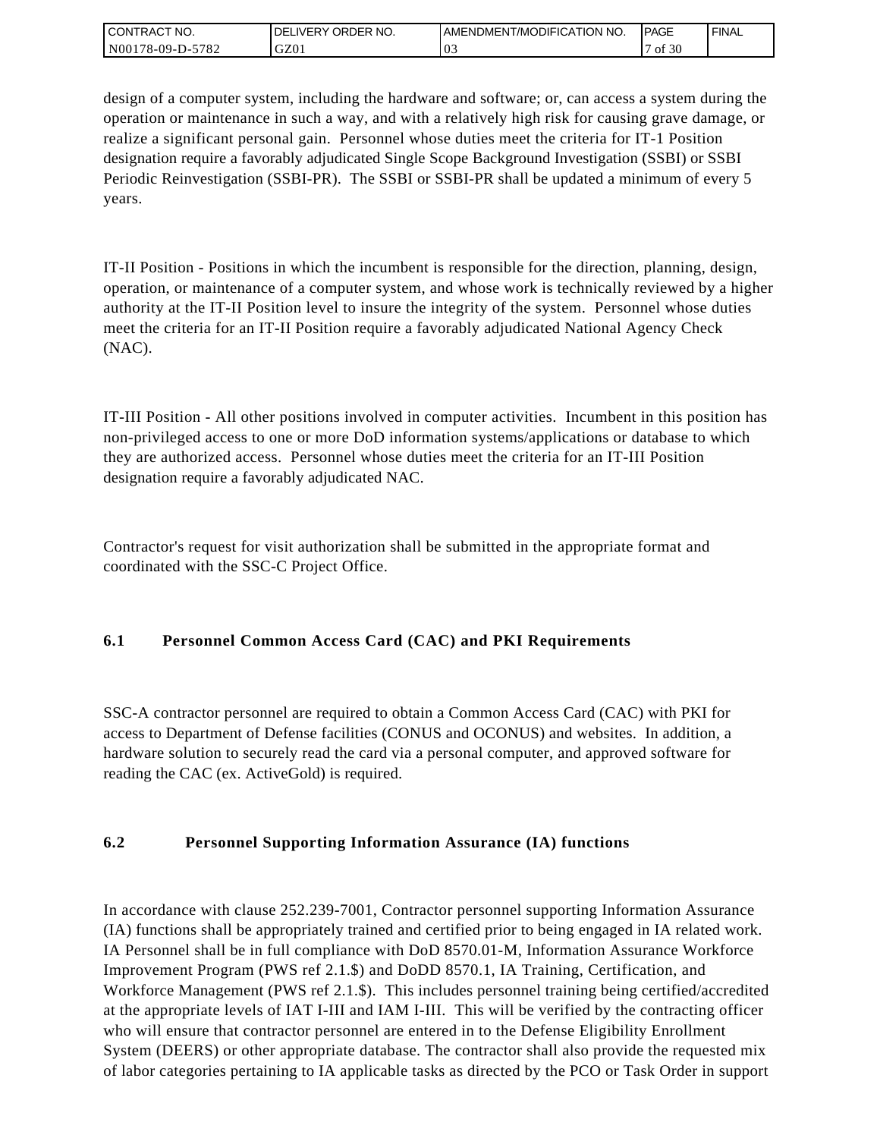| <b>CONTRACT NO.</b> | ORDER NO.<br><b>DELIVERY</b> | <b>IAMENDMENT/MODIFICATION NO.</b> | <b>PAGE</b> | <b>FINAL</b> |
|---------------------|------------------------------|------------------------------------|-------------|--------------|
| N00178-09-D-5782    | GZ01                         | v.                                 | f 30ء<br>0Ī |              |

design of a computer system, including the hardware and software; or, can access a system during the operation or maintenance in such a way, and with a relatively high risk for causing grave damage, or realize a significant personal gain. Personnel whose duties meet the criteria for IT-1 Position designation require a favorably adjudicated Single Scope Background Investigation (SSBI) or SSBI Periodic Reinvestigation (SSBI-PR). The SSBI or SSBI-PR shall be updated a minimum of every 5 years.

IT-II Position - Positions in which the incumbent is responsible for the direction, planning, design, operation, or maintenance of a computer system, and whose work is technically reviewed by a higher authority at the IT-II Position level to insure the integrity of the system. Personnel whose duties meet the criteria for an IT-II Position require a favorably adjudicated National Agency Check (NAC).

IT-III Position - All other positions involved in computer activities. Incumbent in this position has non-privileged access to one or more DoD information systems/applications or database to which they are authorized access. Personnel whose duties meet the criteria for an IT-III Position designation require a favorably adjudicated NAC.

Contractor's request for visit authorization shall be submitted in the appropriate format and coordinated with the SSC-C Project Office.

# **6.1 Personnel Common Access Card (CAC) and PKI Requirements**

SSC-A contractor personnel are required to obtain a Common Access Card (CAC) with PKI for access to Department of Defense facilities (CONUS and OCONUS) and websites. In addition, a hardware solution to securely read the card via a personal computer, and approved software for reading the CAC (ex. ActiveGold) is required.

## **6.2 Personnel Supporting Information Assurance (IA) functions**

In accordance with clause 252.239-7001, Contractor personnel supporting Information Assurance (IA) functions shall be appropriately trained and certified prior to being engaged in IA related work. IA Personnel shall be in full compliance with DoD 8570.01-M, Information Assurance Workforce Improvement Program (PWS ref 2.1.\$) and DoDD 8570.1, IA Training, Certification, and Workforce Management (PWS ref 2.1.\$). This includes personnel training being certified/accredited at the appropriate levels of IAT I-III and IAM I-III. This will be verified by the contracting officer who will ensure that contractor personnel are entered in to the Defense Eligibility Enrollment System (DEERS) or other appropriate database. The contractor shall also provide the requested mix of labor categories pertaining to IA applicable tasks as directed by the PCO or Task Order in support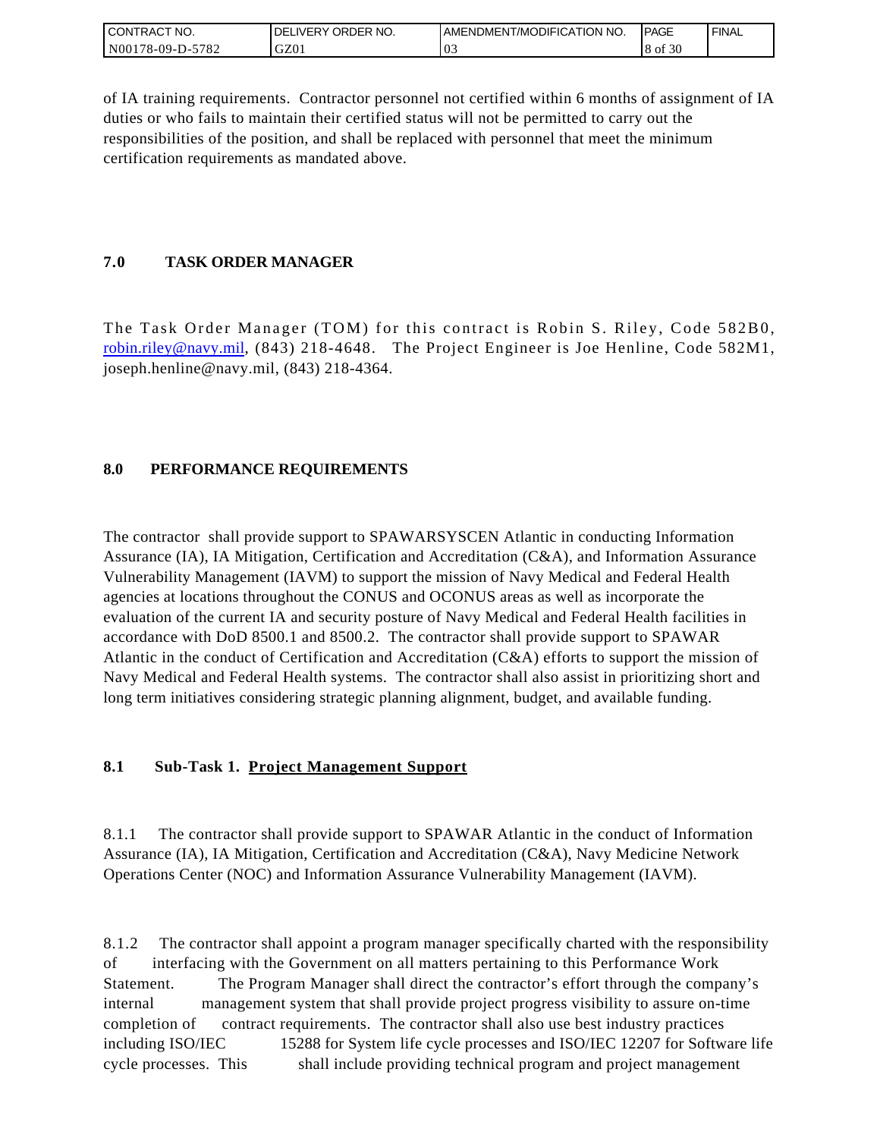| I CONTRACT NO.   | ORDER NO.<br><b>DELIVERY</b> | I AMENDMENT/MODIFICATION NO. | <b>IPAGE</b> | <b>FINAL</b> |
|------------------|------------------------------|------------------------------|--------------|--------------|
| N00178-09-D-5782 | GZ01                         | $\Omega$<br>V.               | 8 of 30      |              |

of IA training requirements. Contractor personnel not certified within 6 months of assignment of IA duties or who fails to maintain their certified status will not be permitted to carry out the responsibilities of the position, and shall be replaced with personnel that meet the minimum certification requirements as mandated above.

## **7.0 TASK ORDER MANAGER**

The Task Order Manager (TOM) for this contract is Robin S. Riley, Code 582B0, [robin.riley@navy.mil,](mailto:robin.riley@navy.mil) (843) 218-4648. The Project Engineer is Joe Henline, Code 582M1, joseph.henline@navy.mil, (843) 218-4364.

## **8.0 PERFORMANCE REQUIREMENTS**

The contractor shall provide support to SPAWARSYSCEN Atlantic in conducting Information Assurance (IA), IA Mitigation, Certification and Accreditation (C&A), and Information Assurance Vulnerability Management (IAVM) to support the mission of Navy Medical and Federal Health agencies at locations throughout the CONUS and OCONUS areas as well as incorporate the evaluation of the current IA and security posture of Navy Medical and Federal Health facilities in accordance with DoD 8500.1 and 8500.2. The contractor shall provide support to SPAWAR Atlantic in the conduct of Certification and Accreditation (C&A) efforts to support the mission of Navy Medical and Federal Health systems. The contractor shall also assist in prioritizing short and long term initiatives considering strategic planning alignment, budget, and available funding.

## **8.1 Sub-Task 1. Project Management Support**

8.1.1 The contractor shall provide support to SPAWAR Atlantic in the conduct of Information Assurance (IA), IA Mitigation, Certification and Accreditation (C&A), Navy Medicine Network Operations Center (NOC) and Information Assurance Vulnerability Management (IAVM).

8.1.2 The contractor shall appoint a program manager specifically charted with the responsibility of interfacing with the Government on all matters pertaining to this Performance Work Statement. The Program Manager shall direct the contractor's effort through the company's internal management system that shall provide project progress visibility to assure on-time completion of contract requirements. The contractor shall also use best industry practices including ISO/IEC 15288 for System life cycle processes and ISO/IEC 12207 for Software life cycle processes. This shall include providing technical program and project management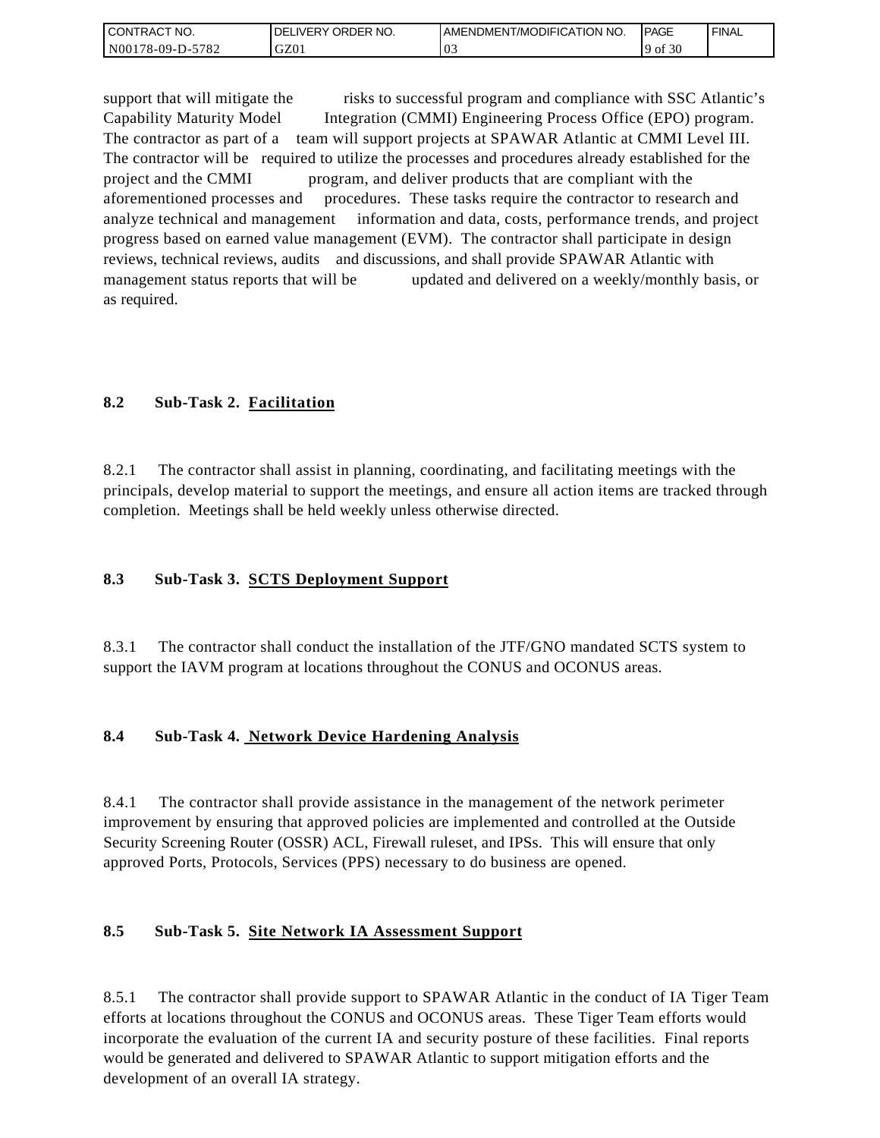| <b>CONTRACT NO.</b> | ' ORDER NO.<br><b>DELIVERY</b> | <b>IAMENDMENT/MODIFICATION NO.</b> | <b>PAGE</b>  | <b>FINAL</b> |
|---------------------|--------------------------------|------------------------------------|--------------|--------------|
| N00178-09-D-5782    | GZ01                           | v.                                 | f 30<br>° of |              |

support that will mitigate the risks to successful program and compliance with SSC Atlantic's Capability Maturity Model Integration (CMMI) Engineering Process Office (EPO) program. The contractor as part of a team will support projects at SPAWAR Atlantic at CMMI Level III. The contractor will be required to utilize the processes and procedures already established for the project and the CMMI program, and deliver products that are compliant with the aforementioned processes and procedures. These tasks require the contractor to research and analyze technical and management information and data, costs, performance trends, and project progress based on earned value management (EVM). The contractor shall participate in design reviews, technical reviews, audits and discussions, and shall provide SPAWAR Atlantic with management status reports that will be updated and delivered on a weekly/monthly basis, or as required.

# **8.2 Sub-Task 2. Facilitation**

8.2.1 The contractor shall assist in planning, coordinating, and facilitating meetings with the principals, develop material to support the meetings, and ensure all action items are tracked through completion. Meetings shall be held weekly unless otherwise directed.

## **8.3 Sub-Task 3. SCTS Deployment Support**

8.3.1 The contractor shall conduct the installation of the JTF/GNO mandated SCTS system to support the IAVM program at locations throughout the CONUS and OCONUS areas.

## **8.4 Sub-Task 4. Network Device Hardening Analysis**

8.4.1 The contractor shall provide assistance in the management of the network perimeter improvement by ensuring that approved policies are implemented and controlled at the Outside Security Screening Router (OSSR) ACL, Firewall ruleset, and IPSs. This will ensure that only approved Ports, Protocols, Services (PPS) necessary to do business are opened.

## **8.5 Sub-Task 5. Site Network IA Assessment Support**

8.5.1 The contractor shall provide support to SPAWAR Atlantic in the conduct of IA Tiger Team efforts at locations throughout the CONUS and OCONUS areas. These Tiger Team efforts would incorporate the evaluation of the current IA and security posture of these facilities. Final reports would be generated and delivered to SPAWAR Atlantic to support mitigation efforts and the development of an overall IA strategy.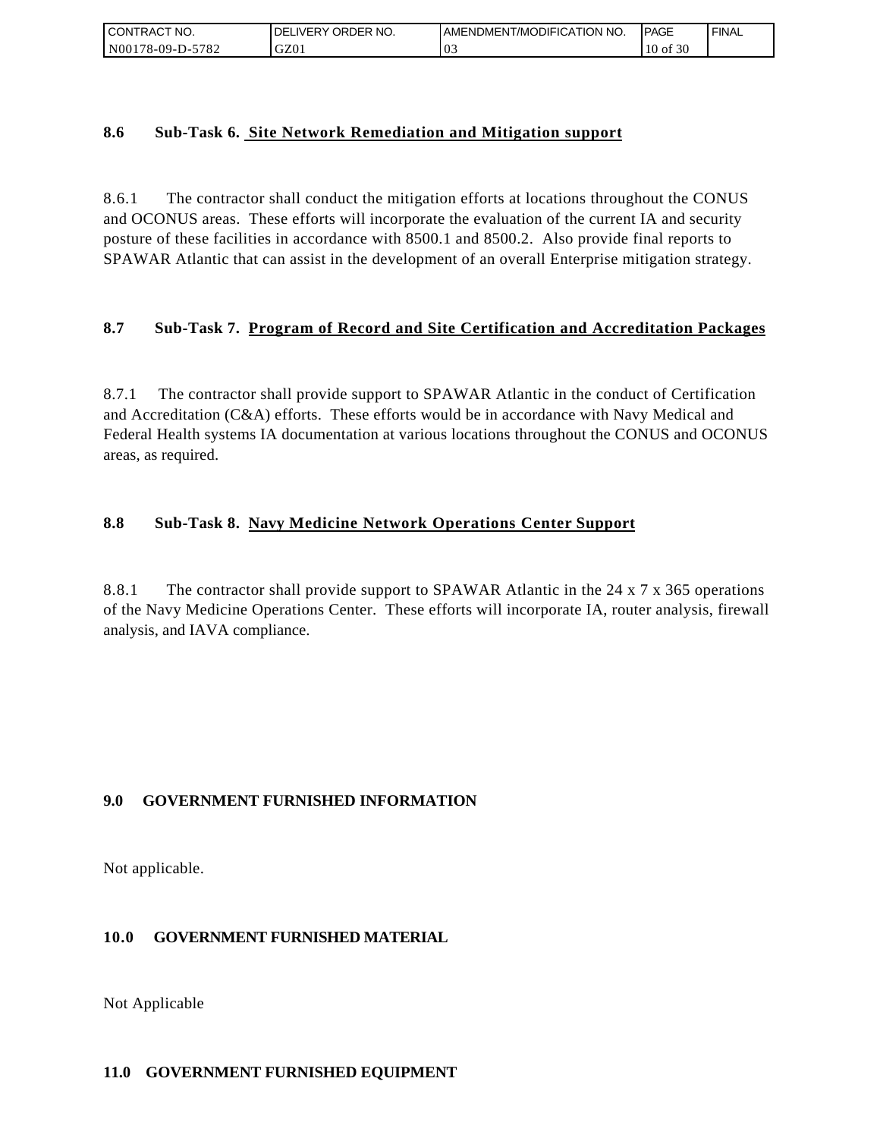| l CON <sup>-</sup><br>'TRACT NO. | <b>ORDER</b><br>NO.<br>IVERY<br>DELI | AMENDMENT/MODIFICATION NO. | <b>IPAGE</b>  | <b>FINAL</b> |
|----------------------------------|--------------------------------------|----------------------------|---------------|--------------|
| N00178-09-D-5<br>5782            | GZ01                                 | $\mathbf{v}$ .             | f 30<br>10 of |              |

### **8.6 Sub-Task 6. Site Network Remediation and Mitigation support**

8.6.1 The contractor shall conduct the mitigation efforts at locations throughout the CONUS and OCONUS areas. These efforts will incorporate the evaluation of the current IA and security posture of these facilities in accordance with 8500.1 and 8500.2. Also provide final reports to SPAWAR Atlantic that can assist in the development of an overall Enterprise mitigation strategy.

## **8.7 Sub-Task 7. Program of Record and Site Certification and Accreditation Packages**

8.7.1 The contractor shall provide support to SPAWAR Atlantic in the conduct of Certification and Accreditation (C&A) efforts. These efforts would be in accordance with Navy Medical and Federal Health systems IA documentation at various locations throughout the CONUS and OCONUS areas, as required.

## **8.8 Sub-Task 8. Navy Medicine Network Operations Center Support**

8.8.1 The contractor shall provide support to SPAWAR Atlantic in the 24 x 7 x 365 operations of the Navy Medicine Operations Center. These efforts will incorporate IA, router analysis, firewall analysis, and IAVA compliance.

## **9.0 GOVERNMENT FURNISHED INFORMATION**

Not applicable.

## **10.0 GOVERNMENT FURNISHED MATERIAL**

Not Applicable

### **11.0 GOVERNMENT FURNISHED EQUIPMENT**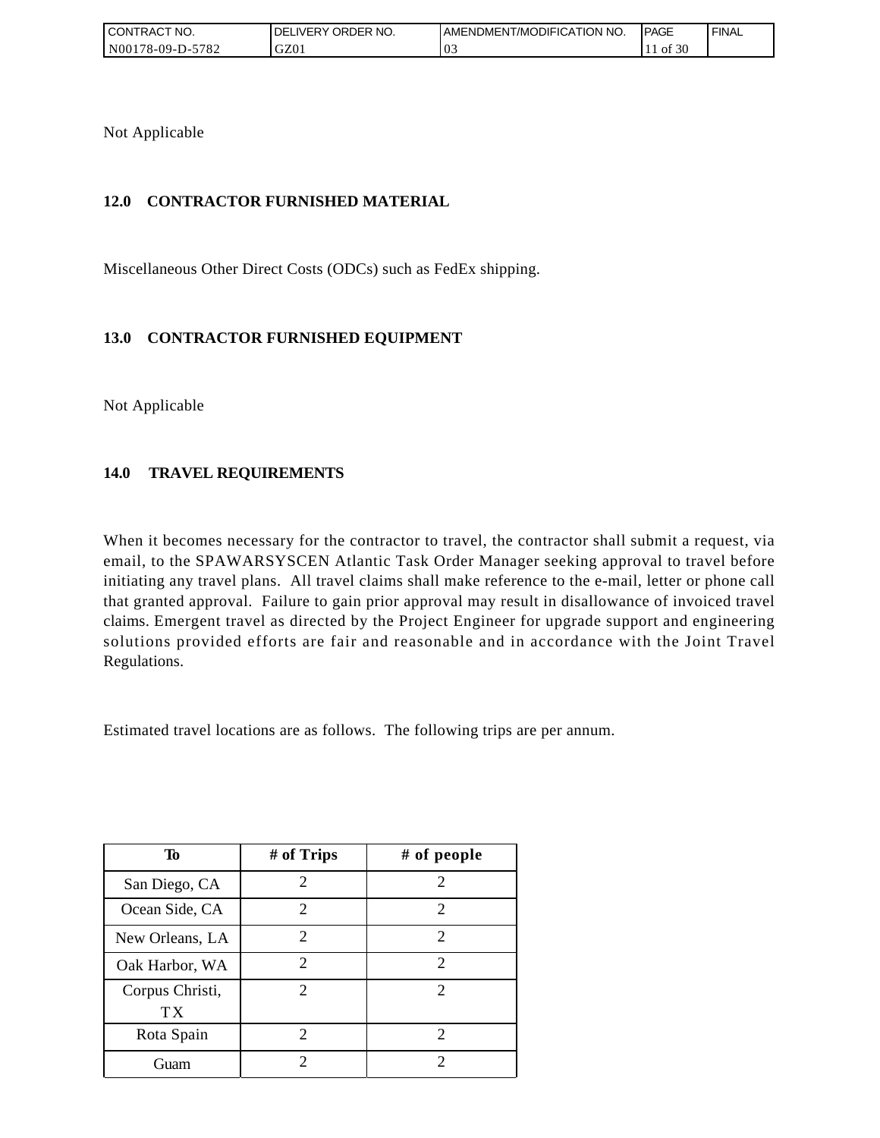| I CONTRACT NO.         | ' ORDER NO.<br><b>IVERY</b><br>DELI | AMENDMENT/MODIFICATION NO. | <b>IPAGE</b>       | ' FINAL |
|------------------------|-------------------------------------|----------------------------|--------------------|---------|
| 5782<br>N00178-09-D-57 | GZ01                                | 03                         | $\degree 30$<br>ΟĪ |         |

Not Applicable

# **12.0 CONTRACTOR FURNISHED MATERIAL**

Miscellaneous Other Direct Costs (ODCs) such as FedEx shipping.

## **13.0 CONTRACTOR FURNISHED EQUIPMENT**

Not Applicable

## **14.0 TRAVEL REQUIREMENTS**

When it becomes necessary for the contractor to travel, the contractor shall submit a request, via email, to the SPAWARSYSCEN Atlantic Task Order Manager seeking approval to travel before initiating any travel plans. All travel claims shall make reference to the e-mail, letter or phone call that granted approval. Failure to gain prior approval may result in disallowance of invoiced travel claims. Emergent travel as directed by the Project Engineer for upgrade support and engineering solutions provided efforts are fair and reasonable and in accordance with the Joint Travel Regulations.

Estimated travel locations are as follows. The following trips are per annum.

| Тo                                 | # of Trips                  | # of people                 |
|------------------------------------|-----------------------------|-----------------------------|
| San Diego, CA                      | $\mathcal{D}_{\mathcal{L}}$ | $\mathcal{D}_{\cdot}$       |
| Ocean Side, CA                     | 2                           | 2                           |
| New Orleans, LA                    | $\mathfrak{D}$              | $\mathcal{D}_{\mathcal{A}}$ |
| Oak Harbor, WA                     | 2                           | $\overline{2}$              |
| Corpus Christi,<br>TX <sup>-</sup> | $\mathcal{D}$               | $\mathcal{D}_{\cdot}$       |
| Rota Spain                         | $\mathcal{D}$               | $\mathcal{D}_{\mathcal{A}}$ |
| Guam                               | 2                           | 2                           |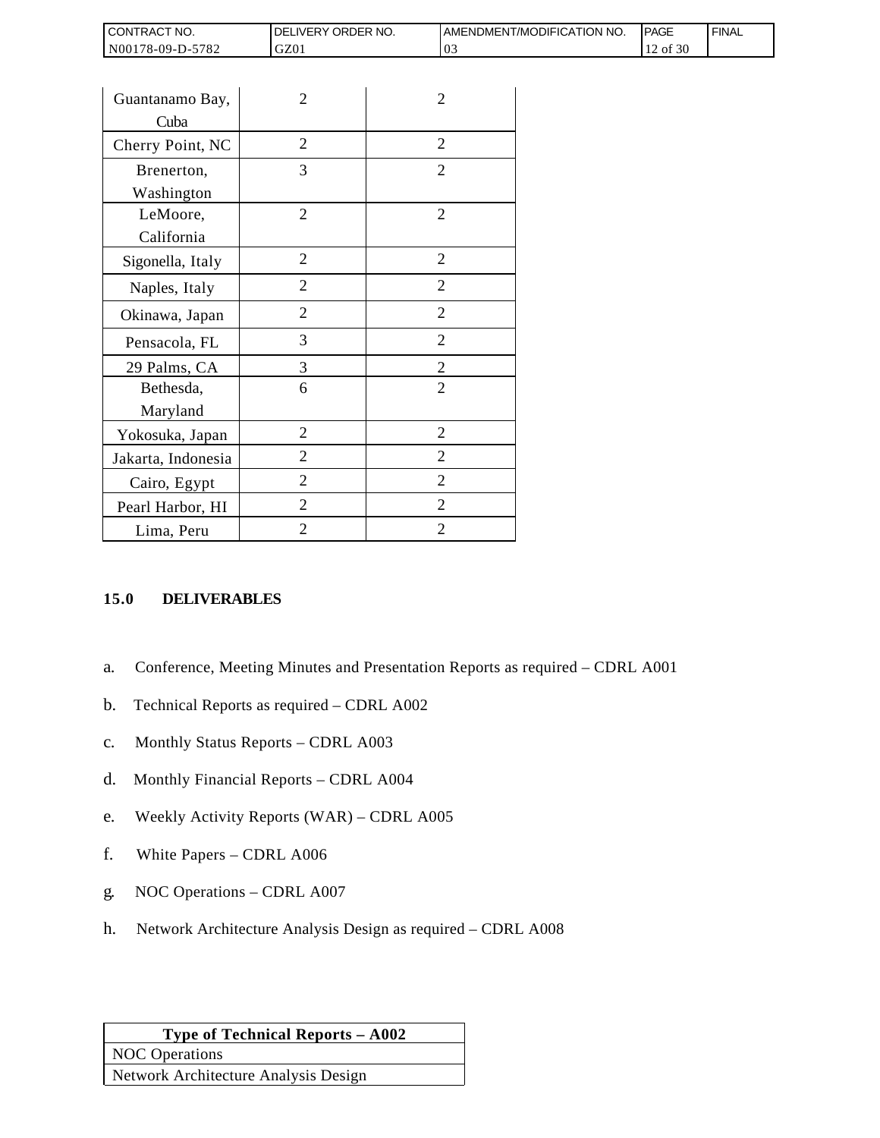| CONTRACT NO.       | DELIVERY ORDER NO. | AMENDMENT/MODIFICATION NO. | PAGE     | <b>FINAL</b> |
|--------------------|--------------------|----------------------------|----------|--------------|
| N00178-09-D-5782   | GZ01               | 03                         | 12 of 30 |              |
|                    |                    |                            |          |              |
| Guantanamo Bay,    | $\overline{2}$     | $\overline{2}$             |          |              |
| Cuba               |                    |                            |          |              |
| Cherry Point, NC   | $\overline{2}$     | $\overline{2}$             |          |              |
| Brenerton,         | 3                  | $\overline{2}$             |          |              |
| Washington         |                    |                            |          |              |
| LeMoore,           | $\overline{2}$     | $\overline{2}$             |          |              |
| California         |                    |                            |          |              |
| Sigonella, Italy   | $\overline{2}$     | $\overline{2}$             |          |              |
| Naples, Italy      | $\overline{2}$     | $\overline{2}$             |          |              |
| Okinawa, Japan     | $\overline{2}$     | $\overline{2}$             |          |              |
| Pensacola, FL      | 3                  | $\overline{2}$             |          |              |
| 29 Palms, CA       | 3                  | $\overline{2}$             |          |              |
| Bethesda,          | 6                  | $\overline{2}$             |          |              |
| Maryland           |                    |                            |          |              |
| Yokosuka, Japan    | $\overline{2}$     | $\overline{2}$             |          |              |
| Jakarta, Indonesia | $\overline{2}$     | $\overline{2}$             |          |              |

## **15.0 DELIVERABLES**

- a. Conference, Meeting Minutes and Presentation Reports as required CDRL A001
- b. Technical Reports as required CDRL A002

Cairo, Egypt 2 2 Pearl Harbor, HI 2 2 2 Lima, Peru 2 2 2

- c. Monthly Status Reports CDRL A003
- d. Monthly Financial Reports CDRL A004
- e. Weekly Activity Reports (WAR) CDRL A005
- f. White Papers CDRL A006
- g. NOC Operations CDRL A007
- h. Network Architecture Analysis Design as required CDRL A008

# **Type of Technical Reports – A002** NOC Operations Network Architecture Analysis Design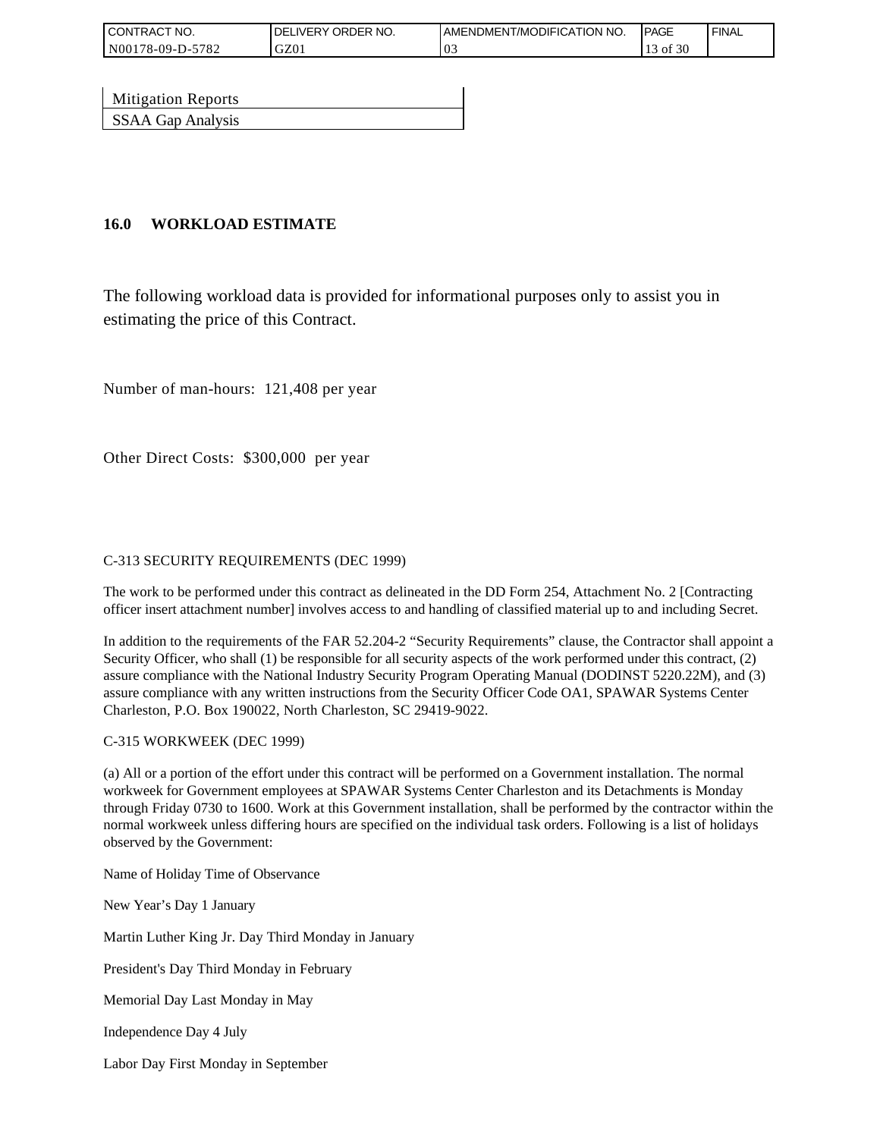| <b>CONTRACT NO.</b> | ' ORDER NO.<br><b>DELIVERY</b> | AMENDMENT/MODIFICATION NO. | <b>PAGE</b> | <b>FINAL</b> |
|---------------------|--------------------------------|----------------------------|-------------|--------------|
| N00178-09-D-5782    | GZ01                           | U.,                        | of 30       |              |

| <b>Mitigation Reports</b> |  |
|---------------------------|--|
| SSAA Gap Analysis         |  |

## **16.0 WORKLOAD ESTIMATE**

The following workload data is provided for informational purposes only to assist you in estimating the price of this Contract.

Number of man-hours: 121,408 per year

Other Direct Costs: \$300,000 per year

### C-313 SECURITY REQUIREMENTS (DEC 1999)

The work to be performed under this contract as delineated in the DD Form 254, Attachment No. 2 [Contracting officer insert attachment number] involves access to and handling of classified material up to and including Secret.

In addition to the requirements of the FAR 52.204-2 "Security Requirements" clause, the Contractor shall appoint a Security Officer, who shall (1) be responsible for all security aspects of the work performed under this contract, (2) assure compliance with the National Industry Security Program Operating Manual (DODINST 5220.22M), and (3) assure compliance with any written instructions from the Security Officer Code OA1, SPAWAR Systems Center Charleston, P.O. Box 190022, North Charleston, SC 29419-9022.

### C-315 WORKWEEK (DEC 1999)

(a) All or a portion of the effort under this contract will be performed on a Government installation. The normal workweek for Government employees at SPAWAR Systems Center Charleston and its Detachments is Monday through Friday 0730 to 1600. Work at this Government installation, shall be performed by the contractor within the normal workweek unless differing hours are specified on the individual task orders. Following is a list of holidays observed by the Government:

Name of Holiday Time of Observance

New Year's Day 1 January

Martin Luther King Jr. Day Third Monday in January

President's Day Third Monday in February

Memorial Day Last Monday in May

Independence Day 4 July

Labor Day First Monday in September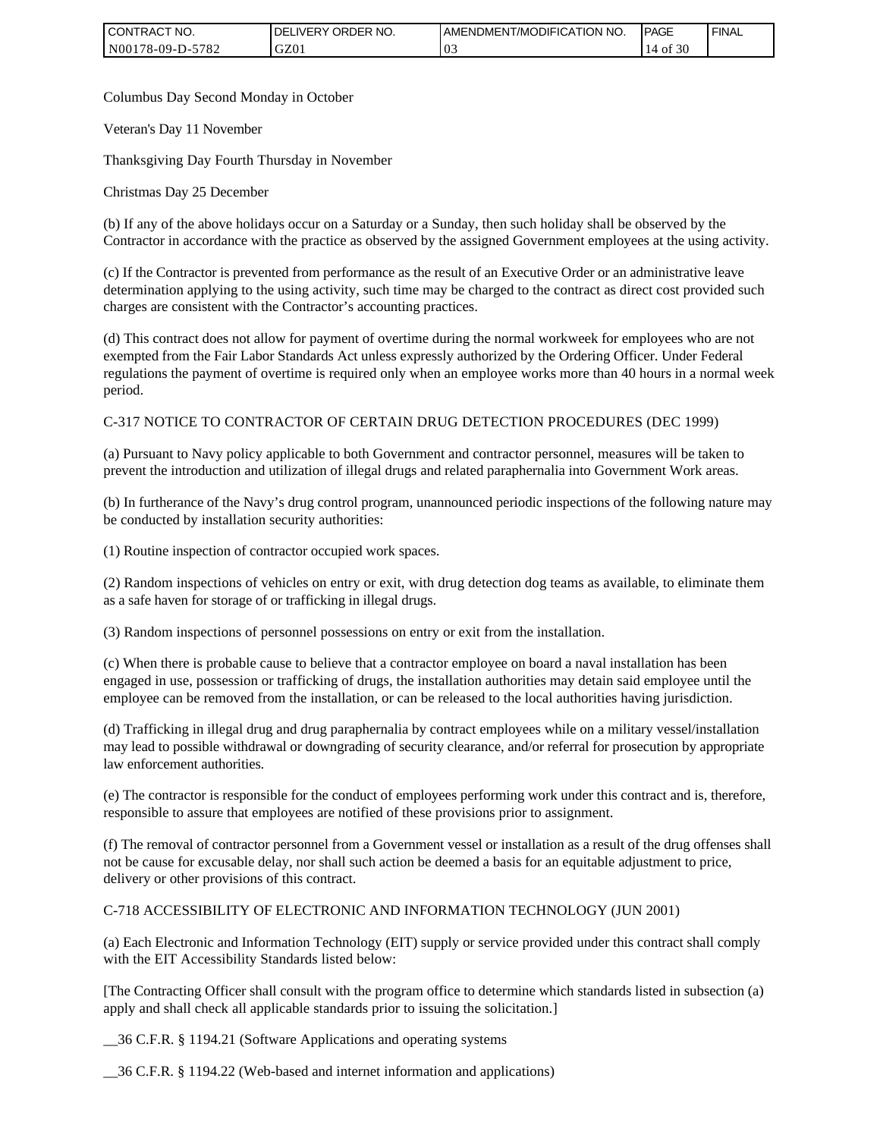| CONTRACT NO.     | <b>DELIVERY ORDER</b><br>NO. | <b>IAMENDMENT/MODIFICATION NO.</b> | <b>IPAGE</b>     | <b>FINAL</b> |
|------------------|------------------------------|------------------------------------|------------------|--------------|
| N00178-09-D-5782 | GZ01                         | '03                                | 30<br>0Ť<br>- 14 |              |

Columbus Day Second Monday in October

Veteran's Day 11 November

Thanksgiving Day Fourth Thursday in November

Christmas Day 25 December

(b) If any of the above holidays occur on a Saturday or a Sunday, then such holiday shall be observed by the Contractor in accordance with the practice as observed by the assigned Government employees at the using activity.

(c) If the Contractor is prevented from performance as the result of an Executive Order or an administrative leave determination applying to the using activity, such time may be charged to the contract as direct cost provided such charges are consistent with the Contractor's accounting practices.

(d) This contract does not allow for payment of overtime during the normal workweek for employees who are not exempted from the Fair Labor Standards Act unless expressly authorized by the Ordering Officer. Under Federal regulations the payment of overtime is required only when an employee works more than 40 hours in a normal week period.

### C-317 NOTICE TO CONTRACTOR OF CERTAIN DRUG DETECTION PROCEDURES (DEC 1999)

(a) Pursuant to Navy policy applicable to both Government and contractor personnel, measures will be taken to prevent the introduction and utilization of illegal drugs and related paraphernalia into Government Work areas.

(b) In furtherance of the Navy's drug control program, unannounced periodic inspections of the following nature may be conducted by installation security authorities:

(1) Routine inspection of contractor occupied work spaces.

(2) Random inspections of vehicles on entry or exit, with drug detection dog teams as available, to eliminate them as a safe haven for storage of or trafficking in illegal drugs.

(3) Random inspections of personnel possessions on entry or exit from the installation.

(c) When there is probable cause to believe that a contractor employee on board a naval installation has been engaged in use, possession or trafficking of drugs, the installation authorities may detain said employee until the employee can be removed from the installation, or can be released to the local authorities having jurisdiction.

(d) Trafficking in illegal drug and drug paraphernalia by contract employees while on a military vessel/installation may lead to possible withdrawal or downgrading of security clearance, and/or referral for prosecution by appropriate law enforcement authorities.

(e) The contractor is responsible for the conduct of employees performing work under this contract and is, therefore, responsible to assure that employees are notified of these provisions prior to assignment.

(f) The removal of contractor personnel from a Government vessel or installation as a result of the drug offenses shall not be cause for excusable delay, nor shall such action be deemed a basis for an equitable adjustment to price, delivery or other provisions of this contract.

### C-718 ACCESSIBILITY OF ELECTRONIC AND INFORMATION TECHNOLOGY (JUN 2001)

(a) Each Electronic and Information Technology (EIT) supply or service provided under this contract shall comply with the EIT Accessibility Standards listed below:

[The Contracting Officer shall consult with the program office to determine which standards listed in subsection (a) apply and shall check all applicable standards prior to issuing the solicitation.]

\_\_36 C.F.R. § 1194.21 (Software Applications and operating systems

\_\_36 C.F.R. § 1194.22 (Web-based and internet information and applications)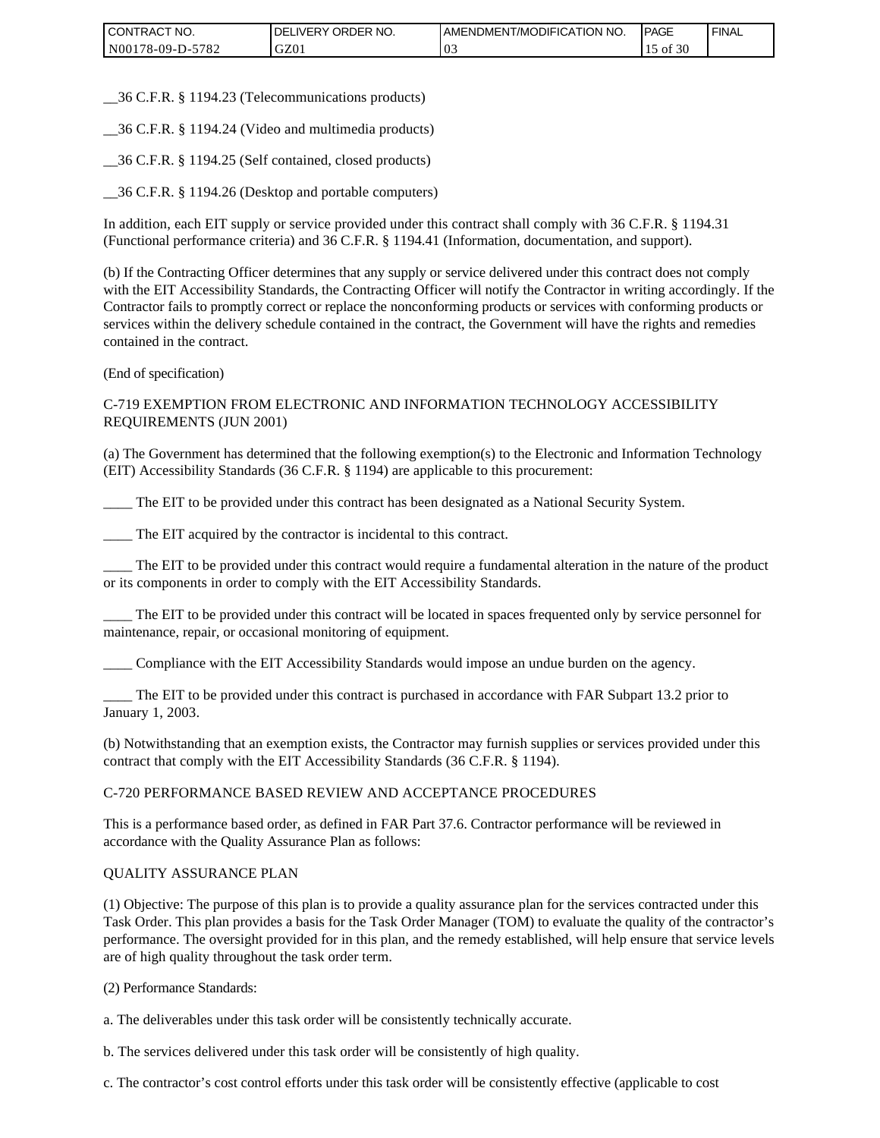| CONTRACT NO.     | DELIVERY ORDER NO. | <b>JAMENDMENT/MODIFICATION NO.</b> | <b>IPAGE</b>     | <b>FINAL</b> |
|------------------|--------------------|------------------------------------|------------------|--------------|
| N00178-09-D-5782 | GZ01               | '03                                | f 30<br>οt<br>1J |              |

\_\_36 C.F.R. § 1194.23 (Telecommunications products)

\_\_36 C.F.R. § 1194.24 (Video and multimedia products)

\_\_36 C.F.R. § 1194.25 (Self contained, closed products)

\_\_36 C.F.R. § 1194.26 (Desktop and portable computers)

In addition, each EIT supply or service provided under this contract shall comply with 36 C.F.R. § 1194.31 (Functional performance criteria) and 36 C.F.R. § 1194.41 (Information, documentation, and support).

(b) If the Contracting Officer determines that any supply or service delivered under this contract does not comply with the EIT Accessibility Standards, the Contracting Officer will notify the Contractor in writing accordingly. If the Contractor fails to promptly correct or replace the nonconforming products or services with conforming products or services within the delivery schedule contained in the contract, the Government will have the rights and remedies contained in the contract.

(End of specification)

C-719 EXEMPTION FROM ELECTRONIC AND INFORMATION TECHNOLOGY ACCESSIBILITY REQUIREMENTS (JUN 2001)

(a) The Government has determined that the following exemption(s) to the Electronic and Information Technology (EIT) Accessibility Standards (36 C.F.R. § 1194) are applicable to this procurement:

\_\_\_\_ The EIT to be provided under this contract has been designated as a National Security System.

\_\_\_\_ The EIT acquired by the contractor is incidental to this contract.

\_\_\_\_ The EIT to be provided under this contract would require a fundamental alteration in the nature of the product or its components in order to comply with the EIT Accessibility Standards.

\_\_\_\_ The EIT to be provided under this contract will be located in spaces frequented only by service personnel for maintenance, repair, or occasional monitoring of equipment.

\_\_\_\_ Compliance with the EIT Accessibility Standards would impose an undue burden on the agency.

\_\_\_\_ The EIT to be provided under this contract is purchased in accordance with FAR Subpart 13.2 prior to January 1, 2003.

(b) Notwithstanding that an exemption exists, the Contractor may furnish supplies or services provided under this contract that comply with the EIT Accessibility Standards (36 C.F.R. § 1194).

### C-720 PERFORMANCE BASED REVIEW AND ACCEPTANCE PROCEDURES

This is a performance based order, as defined in FAR Part 37.6. Contractor performance will be reviewed in accordance with the Quality Assurance Plan as follows:

### QUALITY ASSURANCE PLAN

(1) Objective: The purpose of this plan is to provide a quality assurance plan for the services contracted under this Task Order. This plan provides a basis for the Task Order Manager (TOM) to evaluate the quality of the contractor's performance. The oversight provided for in this plan, and the remedy established, will help ensure that service levels are of high quality throughout the task order term.

(2) Performance Standards:

a. The deliverables under this task order will be consistently technically accurate.

b. The services delivered under this task order will be consistently of high quality.

c. The contractor's cost control efforts under this task order will be consistently effective (applicable to cost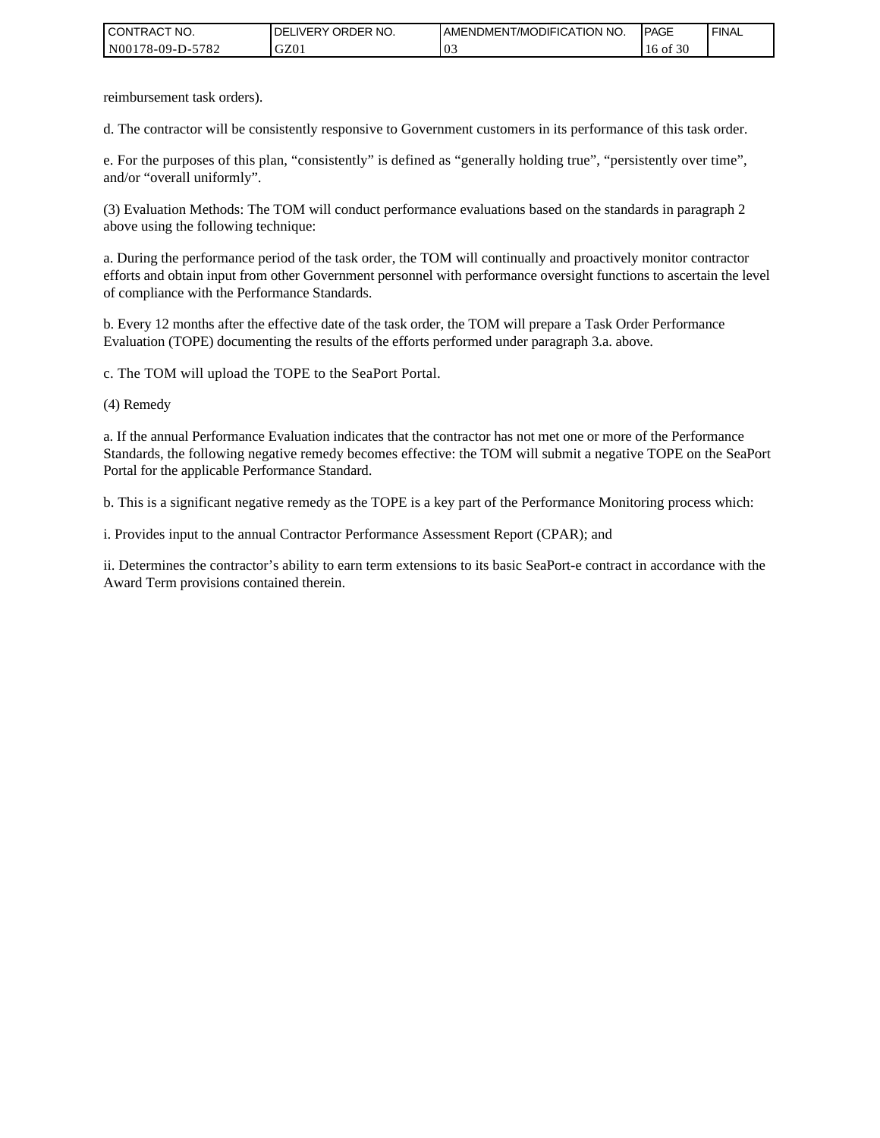| I CONTRACT NO.   | `NO.<br><b>IDELIVERY ORDER</b> | <b>I AMENDMENT/MODIFICATION NO.</b> | <b>PAGE</b> | ' FINAL |
|------------------|--------------------------------|-------------------------------------|-------------|---------|
| N00178-09-D-5782 | GZ01                           | 03                                  | 30<br>16 of |         |

reimbursement task orders).

d. The contractor will be consistently responsive to Government customers in its performance of this task order.

e. For the purposes of this plan, "consistently" is defined as "generally holding true", "persistently over time", and/or "overall uniformly".

(3) Evaluation Methods: The TOM will conduct performance evaluations based on the standards in paragraph 2 above using the following technique:

a. During the performance period of the task order, the TOM will continually and proactively monitor contractor efforts and obtain input from other Government personnel with performance oversight functions to ascertain the level of compliance with the Performance Standards.

b. Every 12 months after the effective date of the task order, the TOM will prepare a Task Order Performance Evaluation (TOPE) documenting the results of the efforts performed under paragraph 3.a. above.

c. The TOM will upload the TOPE to the SeaPort Portal.

(4) Remedy

a. If the annual Performance Evaluation indicates that the contractor has not met one or more of the Performance Standards, the following negative remedy becomes effective: the TOM will submit a negative TOPE on the SeaPort Portal for the applicable Performance Standard.

b. This is a significant negative remedy as the TOPE is a key part of the Performance Monitoring process which:

i. Provides input to the annual Contractor Performance Assessment Report (CPAR); and

ii. Determines the contractor's ability to earn term extensions to its basic SeaPort-e contract in accordance with the Award Term provisions contained therein.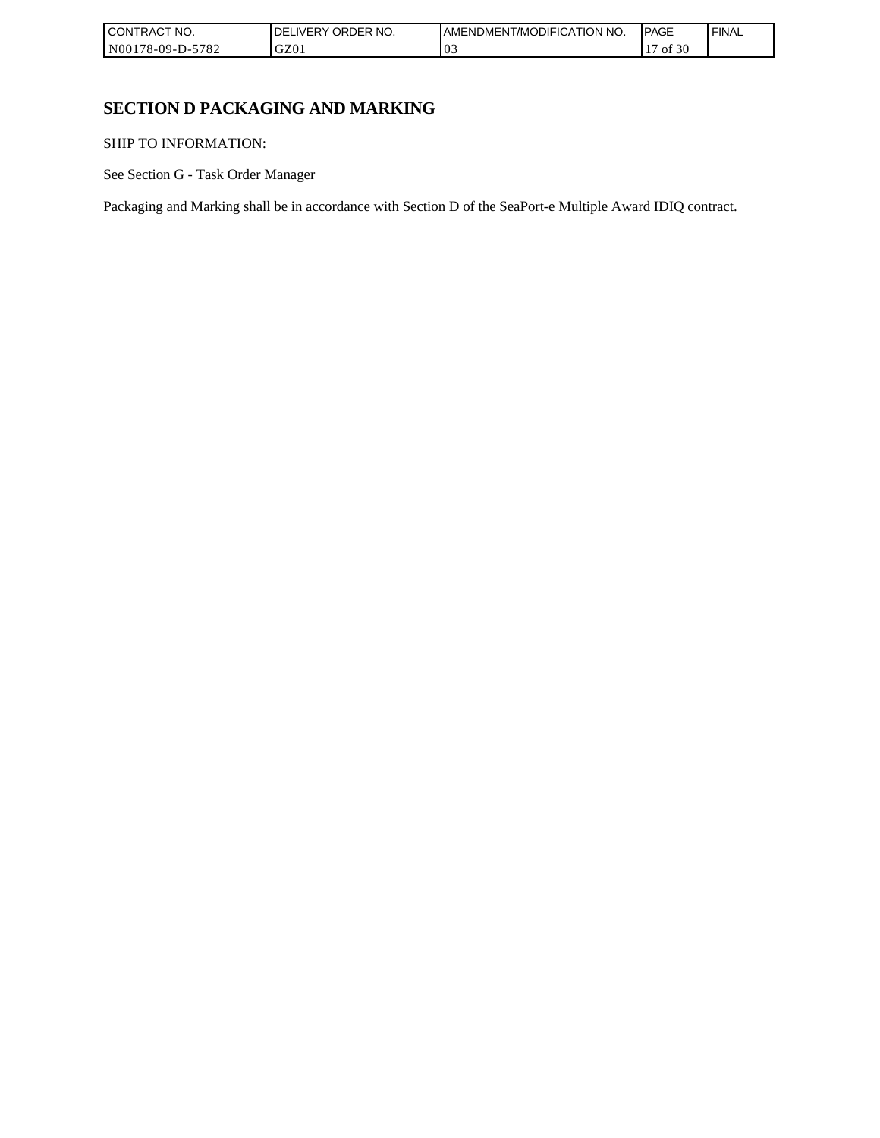| I CONTRACT NO.   | NO.<br><b>ORDER</b><br>DELI<br>_IVERY | AMENDMENT/MODIFICATION NO. | <b>IPAGE</b> | <b>FINAL</b> |
|------------------|---------------------------------------|----------------------------|--------------|--------------|
| N00178-09-D-5782 | GZ01                                  | 03                         | f 30<br>ΟĪ   |              |

٦

# **SECTION D PACKAGING AND MARKING**

SHIP TO INFORMATION:

See Section G - Task Order Manager

Packaging and Marking shall be in accordance with Section D of the SeaPort-e Multiple Award IDIQ contract.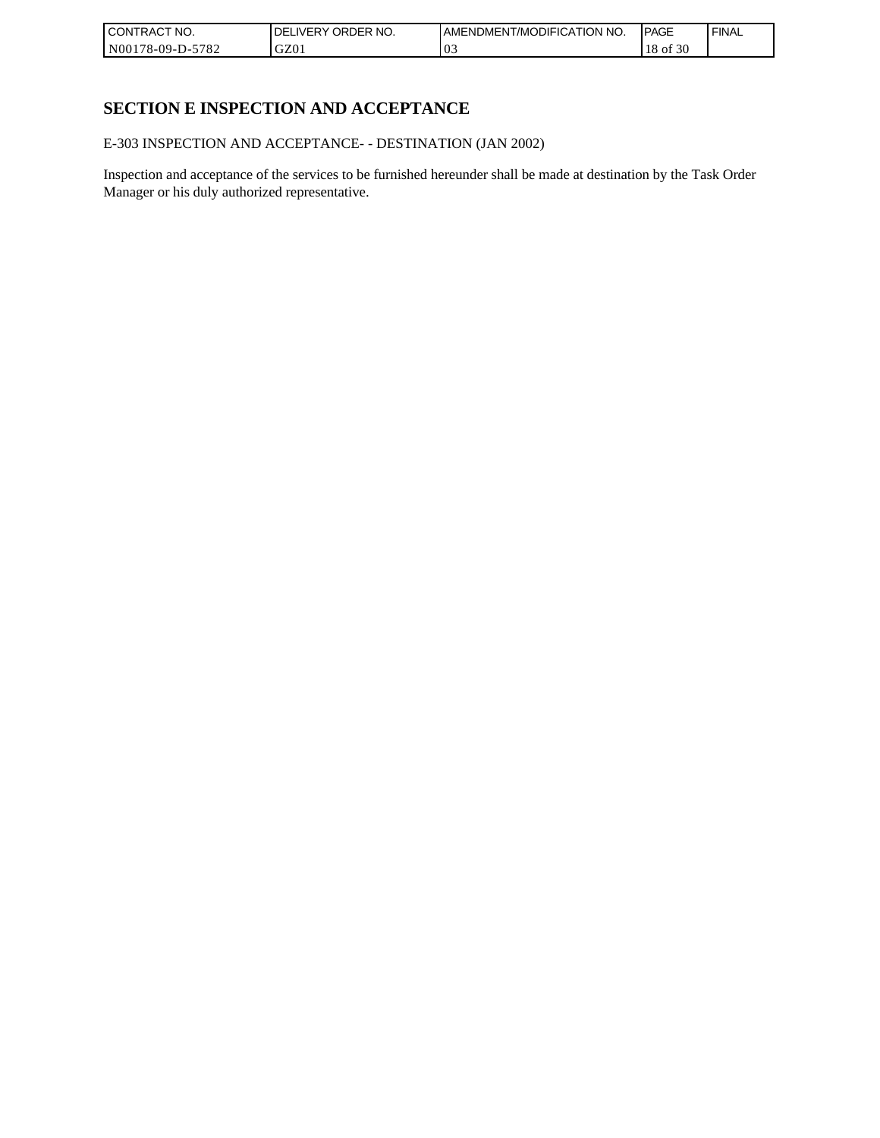| l CON <sup>-</sup><br>'TRACT NO. | <b>ORDER</b><br>NO.<br>IVERY<br>DELI | AMENDMENT/MODIFICATION NO. | <b>IPAGE</b>     | ' FINAL |
|----------------------------------|--------------------------------------|----------------------------|------------------|---------|
| N00178-09-D-5<br>-5782           | GZ01                                 | 03                         | f 30<br>18<br>ΟĪ |         |

# **SECTION E INSPECTION AND ACCEPTANCE**

E-303 INSPECTION AND ACCEPTANCE- - DESTINATION (JAN 2002)

Inspection and acceptance of the services to be furnished hereunder shall be made at destination by the Task Order Manager or his duly authorized representative.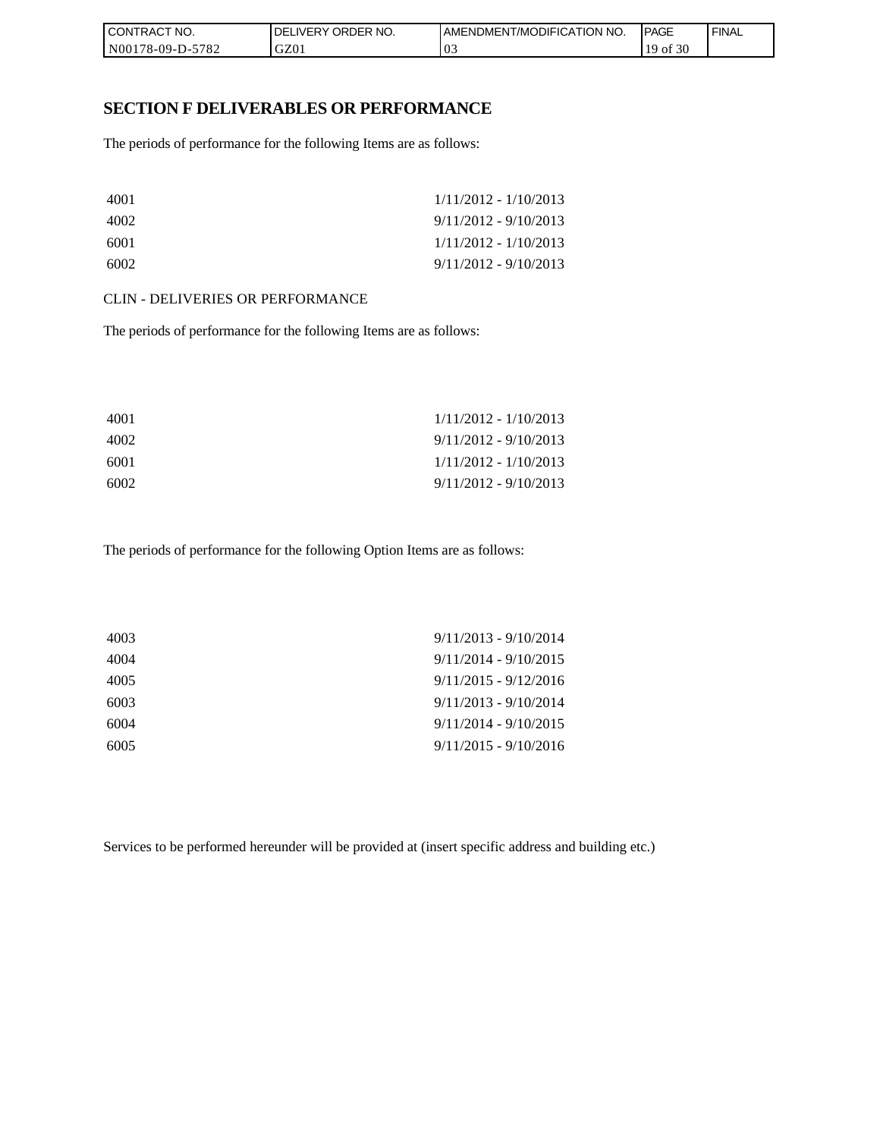| I CONTRACT NO.   | `NO.<br>DELIVERY ORDER I | <b>IAMENDMENT/MODIFICATION NO.</b> | <b>PAGE</b>  | ' FINAL |
|------------------|--------------------------|------------------------------------|--------------|---------|
| N00178-09-D-5782 | GZ01                     | 03                                 | f 30<br>` OI |         |

### **SECTION F DELIVERABLES OR PERFORMANCE**

The periods of performance for the following Items are as follows:

| 4001 | $1/11/2012 - 1/10/2013$ |
|------|-------------------------|
| 4002 | $9/11/2012 - 9/10/2013$ |
| 6001 | $1/11/2012 - 1/10/2013$ |
| 6002 | $9/11/2012 - 9/10/2013$ |

#### CLIN - DELIVERIES OR PERFORMANCE

The periods of performance for the following Items are as follows:

| 4001 | $1/11/2012 - 1/10/2013$ |
|------|-------------------------|
| 4002 | $9/11/2012 - 9/10/2013$ |
| 6001 | $1/11/2012 - 1/10/2013$ |
| 6002 | $9/11/2012 - 9/10/2013$ |

The periods of performance for the following Option Items are as follows:

| 4003 | $9/11/2013 - 9/10/2014$ |
|------|-------------------------|
| 4004 | $9/11/2014 - 9/10/2015$ |
| 4005 | $9/11/2015 - 9/12/2016$ |
| 6003 | $9/11/2013 - 9/10/2014$ |
| 6004 | $9/11/2014 - 9/10/2015$ |
| 6005 | $9/11/2015 - 9/10/2016$ |
|      |                         |

Services to be performed hereunder will be provided at (insert specific address and building etc.)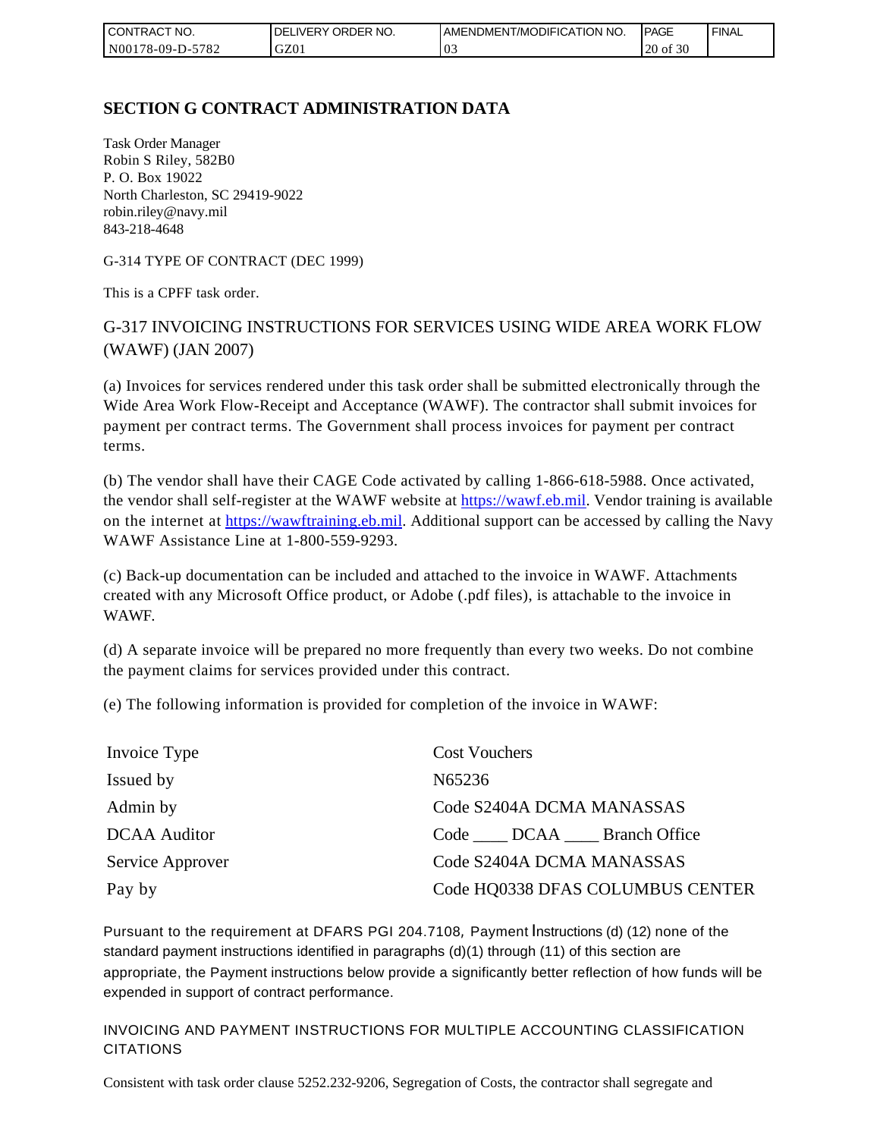| l CON <sup>-</sup><br>ITRACT NO. | ORDER NO.<br><b>DELIVERY</b> | <b>IAMENDMENT/MODIFICATION NO.</b> | <b>IPAGE</b> | <b>FINAL</b> |
|----------------------------------|------------------------------|------------------------------------|--------------|--------------|
| N00178-09-D-5782                 | GZ01                         | v.                                 | of 30<br>20  |              |

## **SECTION G CONTRACT ADMINISTRATION DATA**

Task Order Manager Robin S Riley, 582B0 P. O. Box 19022 North Charleston, SC 29419-9022 robin.riley@navy.mil 843-218-4648

G-314 TYPE OF CONTRACT (DEC 1999)

This is a CPFF task order.

# G-317 INVOICING INSTRUCTIONS FOR SERVICES USING WIDE AREA WORK FLOW (WAWF) (JAN 2007)

(a) Invoices for services rendered under this task order shall be submitted electronically through the Wide Area Work Flow-Receipt and Acceptance (WAWF). The contractor shall submit invoices for payment per contract terms. The Government shall process invoices for payment per contract terms.

(b) The vendor shall have their CAGE Code activated by calling 1-866-618-5988. Once activated, the vendor shall self-register at the WAWF website at [https://wawf.eb.mil.](https://wawf.eb.mil/) Vendor training is available on the internet at [https://wawftraining.eb.mil.](https://wawftraining.eb.mil/) Additional support can be accessed by calling the Navy WAWF Assistance Line at 1-800-559-9293.

(c) Back-up documentation can be included and attached to the invoice in WAWF. Attachments created with any Microsoft Office product, or Adobe (.pdf files), is attachable to the invoice in WAWF.

(d) A separate invoice will be prepared no more frequently than every two weeks. Do not combine the payment claims for services provided under this contract.

(e) The following information is provided for completion of the invoice in WAWF:

| Invoice Type        | <b>Cost Vouchers</b>             |
|---------------------|----------------------------------|
| Issued by           | N65236                           |
| Admin by            | Code S2404A DCMA MANASSAS        |
| <b>DCAA</b> Auditor | Code DCAA Branch Office          |
| Service Approver    | Code S2404A DCMA MANASSAS        |
| Pay by              | Code HQ0338 DFAS COLUMBUS CENTER |

Pursuant to the requirement at DFARS PGI 204.7108, Payment Instructions (d) (12) none of the standard payment instructions identified in paragraphs (d)(1) through (11) of this section are appropriate, the Payment instructions below provide a significantly better reflection of how funds will be expended in support of contract performance.

INVOICING AND PAYMENT INSTRUCTIONS FOR MULTIPLE ACCOUNTING CLASSIFICATION CITATIONS

Consistent with task order clause 5252.232-9206, Segregation of Costs, the contractor shall segregate and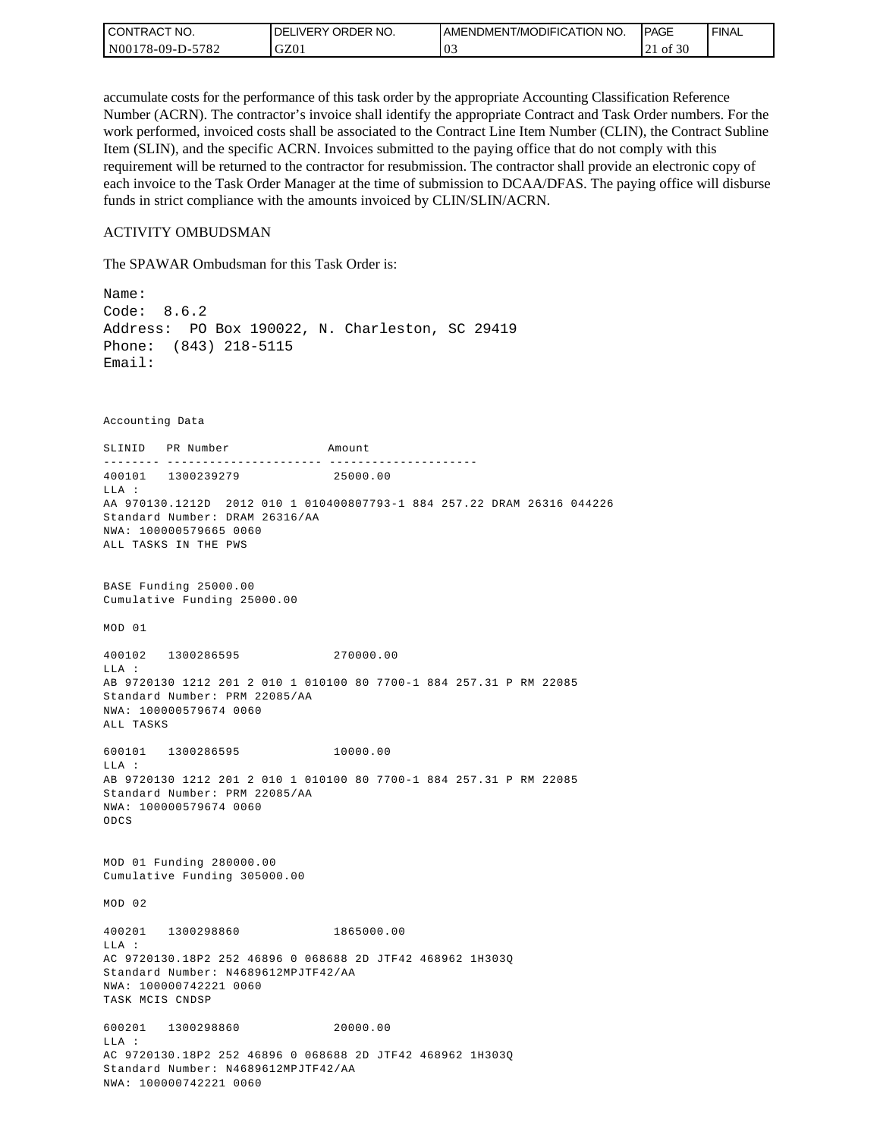| l CON i<br><b>'TRACT NO.</b> | <b>IDELIVERY ORDER NO.</b> | I AMENDMENT/MODIFICATION NO. | <b>IPAGE</b> | <b>FINAL</b> |
|------------------------------|----------------------------|------------------------------|--------------|--------------|
| N00178-09-D-5782             | GZ01                       | v.                           | of 30        |              |

accumulate costs for the performance of this task order by the appropriate Accounting Classification Reference Number (ACRN). The contractor's invoice shall identify the appropriate Contract and Task Order numbers. For the work performed, invoiced costs shall be associated to the Contract Line Item Number (CLIN), the Contract Subline Item (SLIN), and the specific ACRN. Invoices submitted to the paying office that do not comply with this requirement will be returned to the contractor for resubmission. The contractor shall provide an electronic copy of each invoice to the Task Order Manager at the time of submission to DCAA/DFAS. The paying office will disburse funds in strict compliance with the amounts invoiced by CLIN/SLIN/ACRN.

#### ACTIVITY OMBUDSMAN

The SPAWAR Ombudsman for this Task Order is:

Name: Code: 8.6.2 Address: PO Box 190022, N. Charleston, SC 29419 Phone: (843) 218-5115 Email: Accounting Data SLINID PR Number Amount -------- ---------------------- ---------------------400101 1300239279 25000.00 LLA : AA 970130.1212D 2012 010 1 010400807793-1 884 257.22 DRAM 26316 044226 Standard Number: DRAM 26316/AA NWA: 100000579665 0060 ALL TASKS IN THE PWS BASE Funding 25000.00 Cumulative Funding 25000.00 MOD 01 400102 1300286595 270000.00  $T.T.A$  : AB 9720130 1212 201 2 010 1 010100 80 7700-1 884 257.31 P RM 22085 Standard Number: PRM 22085/AA NWA: 100000579674 0060 ALL TASKS 600101 1300286595 10000.00 LLA : AB 9720130 1212 201 2 010 1 010100 80 7700-1 884 257.31 P RM 22085 Standard Number: PRM 22085/AA NWA: 100000579674 0060 ODCS MOD 01 Funding 280000.00 Cumulative Funding 305000.00 MOD 02 400201 1300298860 1865000.00 LLA : AC 9720130.18P2 252 46896 0 068688 2D JTF42 468962 1H303Q Standard Number: N4689612MPJTF42/AA NWA: 100000742221 0060 TASK MCIS CNDSP 600201 1300298860 20000.00 LLA : AC 9720130.18P2 252 46896 0 068688 2D JTF42 468962 1H303Q Standard Number: N4689612MPJTF42/AA NWA: 100000742221 0060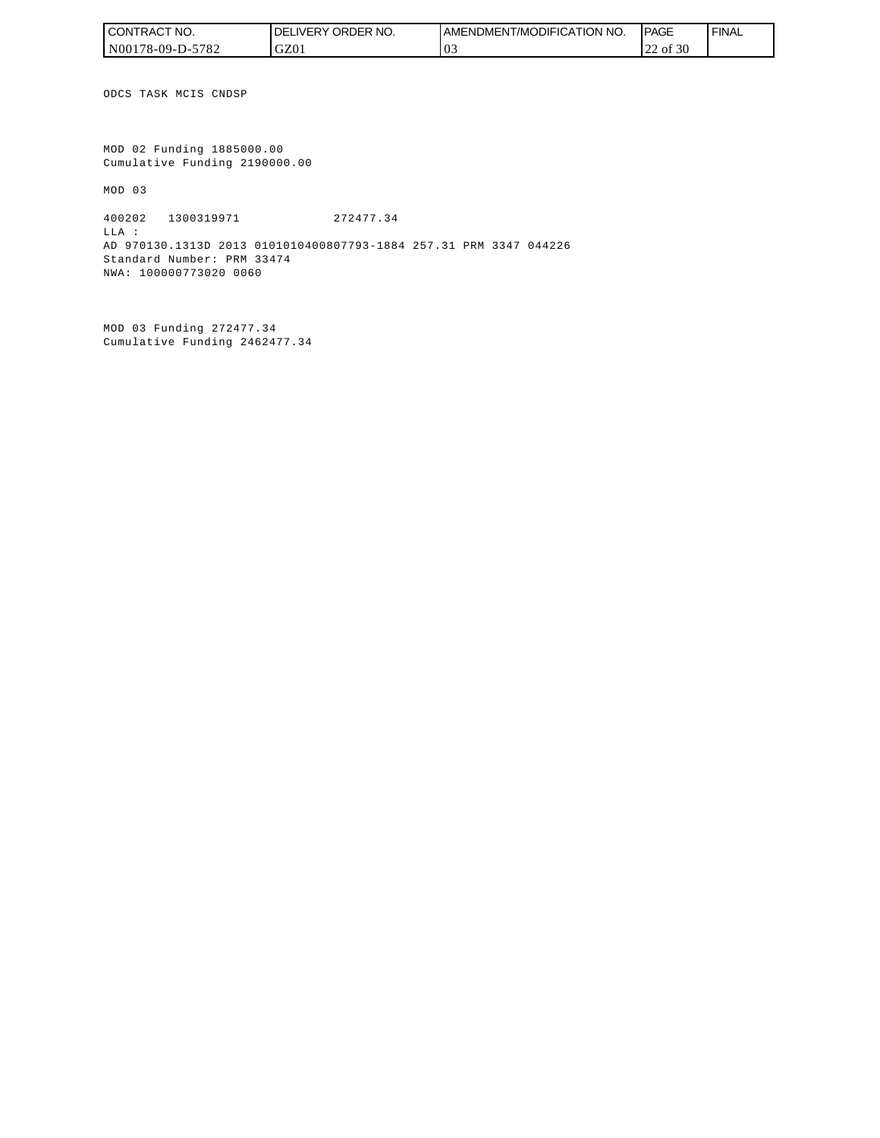| I CONTRACT NO.   | `NO.<br>DELIVERY ORDER | AMENDMENT/MODIFICATION NO. | <b>IPAGE</b>       | <b>FINAL</b> |
|------------------|------------------------|----------------------------|--------------------|--------------|
| N00178-09-D-5782 | GZ01                   |                            | of $30$<br>ററ<br>∼ |              |

ODCS TASK MCIS CNDSP

MOD 02 Funding 1885000.00 Cumulative Funding 2190000.00

MOD 03

400202 1300319971 272477.34 LLA : AD 970130.1313D 2013 0101010400807793-1884 257.31 PRM 3347 044226 Standard Number: PRM 33474 NWA: 100000773020 0060

MOD 03 Funding 272477.34 Cumulative Funding 2462477.34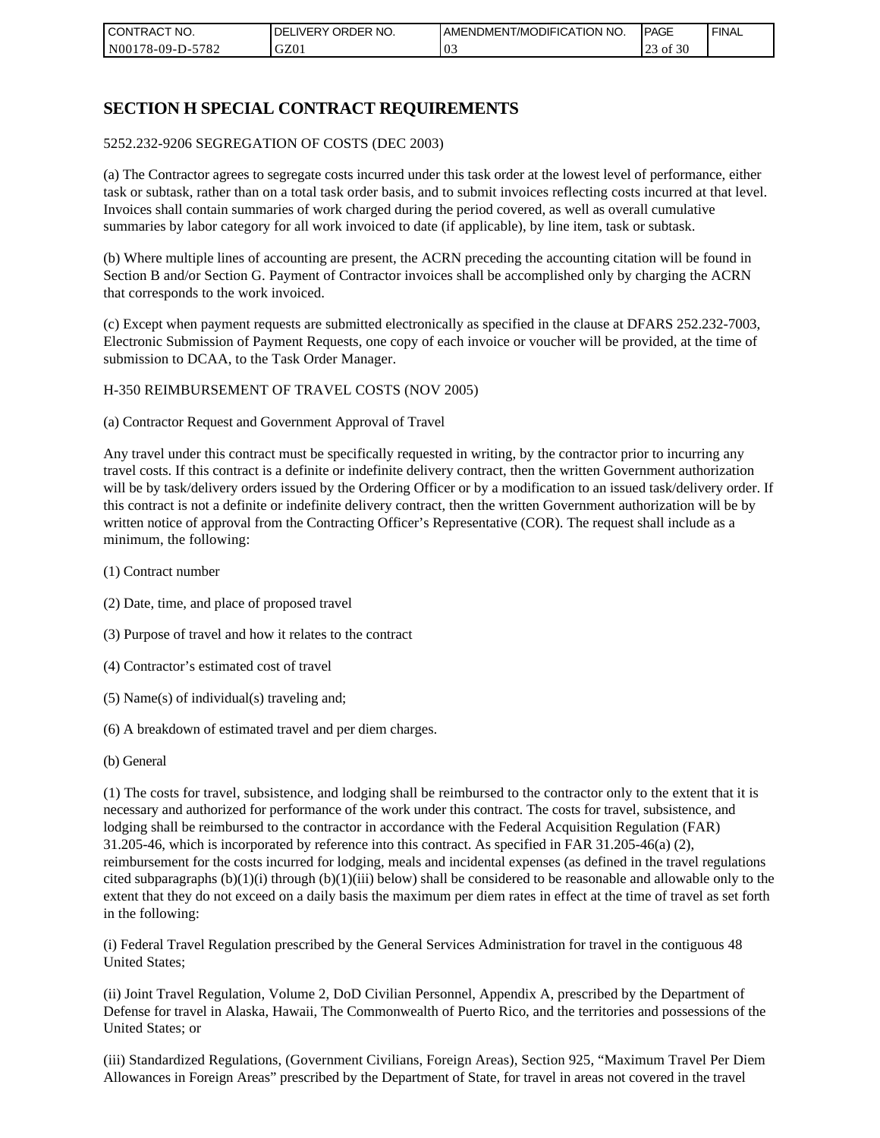| l CON <sup>-</sup><br>'TRACT NO. | <b>ORDER</b><br>NO.<br>IVERY<br>DELI | AMENDMENT/MODIFICATION NO. | <b>IPAGE</b>                  | <b>FINAL</b> |
|----------------------------------|--------------------------------------|----------------------------|-------------------------------|--------------|
| N00178-09-D-5<br>5782            | GZ01                                 | 0 <sup>2</sup>             | f 30<br>$\bigcap$<br>ΟĪ<br>رے |              |

# **SECTION H SPECIAL CONTRACT REQUIREMENTS**

#### 5252.232-9206 SEGREGATION OF COSTS (DEC 2003)

(a) The Contractor agrees to segregate costs incurred under this task order at the lowest level of performance, either task or subtask, rather than on a total task order basis, and to submit invoices reflecting costs incurred at that level. Invoices shall contain summaries of work charged during the period covered, as well as overall cumulative summaries by labor category for all work invoiced to date (if applicable), by line item, task or subtask.

(b) Where multiple lines of accounting are present, the ACRN preceding the accounting citation will be found in Section B and/or Section G. Payment of Contractor invoices shall be accomplished only by charging the ACRN that corresponds to the work invoiced.

(c) Except when payment requests are submitted electronically as specified in the clause at DFARS 252.232-7003, Electronic Submission of Payment Requests, one copy of each invoice or voucher will be provided, at the time of submission to DCAA, to the Task Order Manager.

### H-350 REIMBURSEMENT OF TRAVEL COSTS (NOV 2005)

(a) Contractor Request and Government Approval of Travel

Any travel under this contract must be specifically requested in writing, by the contractor prior to incurring any travel costs. If this contract is a definite or indefinite delivery contract, then the written Government authorization will be by task/delivery orders issued by the Ordering Officer or by a modification to an issued task/delivery order. If this contract is not a definite or indefinite delivery contract, then the written Government authorization will be by written notice of approval from the Contracting Officer's Representative (COR). The request shall include as a minimum, the following:

- (1) Contract number
- (2) Date, time, and place of proposed travel
- (3) Purpose of travel and how it relates to the contract
- (4) Contractor's estimated cost of travel
- (5) Name(s) of individual(s) traveling and;
- (6) A breakdown of estimated travel and per diem charges.
- (b) General

(1) The costs for travel, subsistence, and lodging shall be reimbursed to the contractor only to the extent that it is necessary and authorized for performance of the work under this contract. The costs for travel, subsistence, and lodging shall be reimbursed to the contractor in accordance with the Federal Acquisition Regulation (FAR) 31.205-46, which is incorporated by reference into this contract. As specified in FAR 31.205-46(a) (2), reimbursement for the costs incurred for lodging, meals and incidental expenses (as defined in the travel regulations cited subparagraphs  $(b)(1)(i)$  through  $(b)(1)(iii)$  below) shall be considered to be reasonable and allowable only to the extent that they do not exceed on a daily basis the maximum per diem rates in effect at the time of travel as set forth in the following:

(i) Federal Travel Regulation prescribed by the General Services Administration for travel in the contiguous 48 United States;

(ii) Joint Travel Regulation, Volume 2, DoD Civilian Personnel, Appendix A, prescribed by the Department of Defense for travel in Alaska, Hawaii, The Commonwealth of Puerto Rico, and the territories and possessions of the United States; or

(iii) Standardized Regulations, (Government Civilians, Foreign Areas), Section 925, "Maximum Travel Per Diem Allowances in Foreign Areas" prescribed by the Department of State, for travel in areas not covered in the travel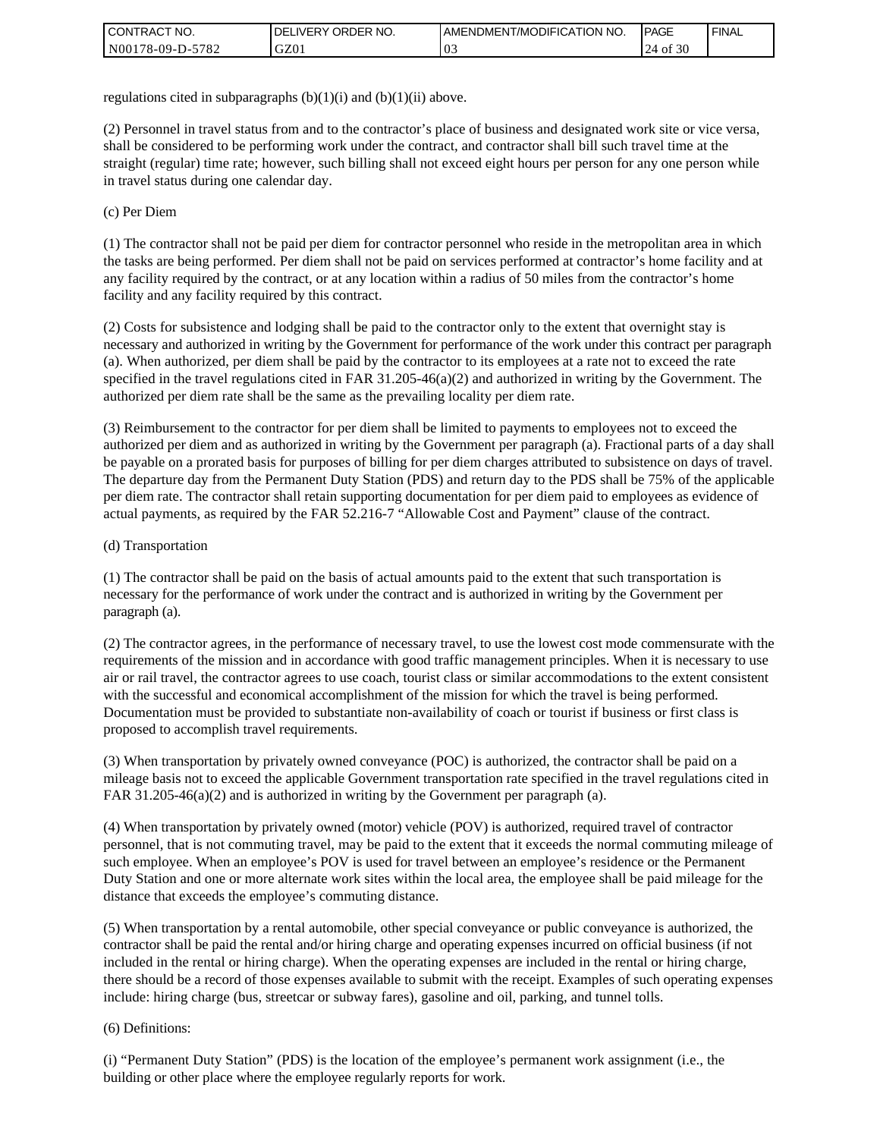| l CON <sup>-</sup><br>'TRACT NO. | <b>ORDER</b><br>NO.<br>IVERY<br>DELI | AMENDMENT/MODIFICATION NO. | <b>IPAGE</b>     | ' FINAL |
|----------------------------------|--------------------------------------|----------------------------|------------------|---------|
| N00178-09-D-5<br>-5782           | GZ01                                 | 03                         | f 30<br>24<br>0Ī |         |

regulations cited in subparagraphs  $(b)(1)(i)$  and  $(b)(1)(ii)$  above.

(2) Personnel in travel status from and to the contractor's place of business and designated work site or vice versa, shall be considered to be performing work under the contract, and contractor shall bill such travel time at the straight (regular) time rate; however, such billing shall not exceed eight hours per person for any one person while in travel status during one calendar day.

(c) Per Diem

(1) The contractor shall not be paid per diem for contractor personnel who reside in the metropolitan area in which the tasks are being performed. Per diem shall not be paid on services performed at contractor's home facility and at any facility required by the contract, or at any location within a radius of 50 miles from the contractor's home facility and any facility required by this contract.

(2) Costs for subsistence and lodging shall be paid to the contractor only to the extent that overnight stay is necessary and authorized in writing by the Government for performance of the work under this contract per paragraph (a). When authorized, per diem shall be paid by the contractor to its employees at a rate not to exceed the rate specified in the travel regulations cited in FAR 31.205-46(a)(2) and authorized in writing by the Government. The authorized per diem rate shall be the same as the prevailing locality per diem rate.

(3) Reimbursement to the contractor for per diem shall be limited to payments to employees not to exceed the authorized per diem and as authorized in writing by the Government per paragraph (a). Fractional parts of a day shall be payable on a prorated basis for purposes of billing for per diem charges attributed to subsistence on days of travel. The departure day from the Permanent Duty Station (PDS) and return day to the PDS shall be 75% of the applicable per diem rate. The contractor shall retain supporting documentation for per diem paid to employees as evidence of actual payments, as required by the FAR 52.216-7 "Allowable Cost and Payment" clause of the contract.

### (d) Transportation

(1) The contractor shall be paid on the basis of actual amounts paid to the extent that such transportation is necessary for the performance of work under the contract and is authorized in writing by the Government per paragraph (a).

(2) The contractor agrees, in the performance of necessary travel, to use the lowest cost mode commensurate with the requirements of the mission and in accordance with good traffic management principles. When it is necessary to use air or rail travel, the contractor agrees to use coach, tourist class or similar accommodations to the extent consistent with the successful and economical accomplishment of the mission for which the travel is being performed. Documentation must be provided to substantiate non-availability of coach or tourist if business or first class is proposed to accomplish travel requirements.

(3) When transportation by privately owned conveyance (POC) is authorized, the contractor shall be paid on a mileage basis not to exceed the applicable Government transportation rate specified in the travel regulations cited in FAR 31.205-46(a)(2) and is authorized in writing by the Government per paragraph (a).

(4) When transportation by privately owned (motor) vehicle (POV) is authorized, required travel of contractor personnel, that is not commuting travel, may be paid to the extent that it exceeds the normal commuting mileage of such employee. When an employee's POV is used for travel between an employee's residence or the Permanent Duty Station and one or more alternate work sites within the local area, the employee shall be paid mileage for the distance that exceeds the employee's commuting distance.

(5) When transportation by a rental automobile, other special conveyance or public conveyance is authorized, the contractor shall be paid the rental and/or hiring charge and operating expenses incurred on official business (if not included in the rental or hiring charge). When the operating expenses are included in the rental or hiring charge, there should be a record of those expenses available to submit with the receipt. Examples of such operating expenses include: hiring charge (bus, streetcar or subway fares), gasoline and oil, parking, and tunnel tolls.

#### (6) Definitions:

(i) "Permanent Duty Station" (PDS) is the location of the employee's permanent work assignment (i.e., the building or other place where the employee regularly reports for work.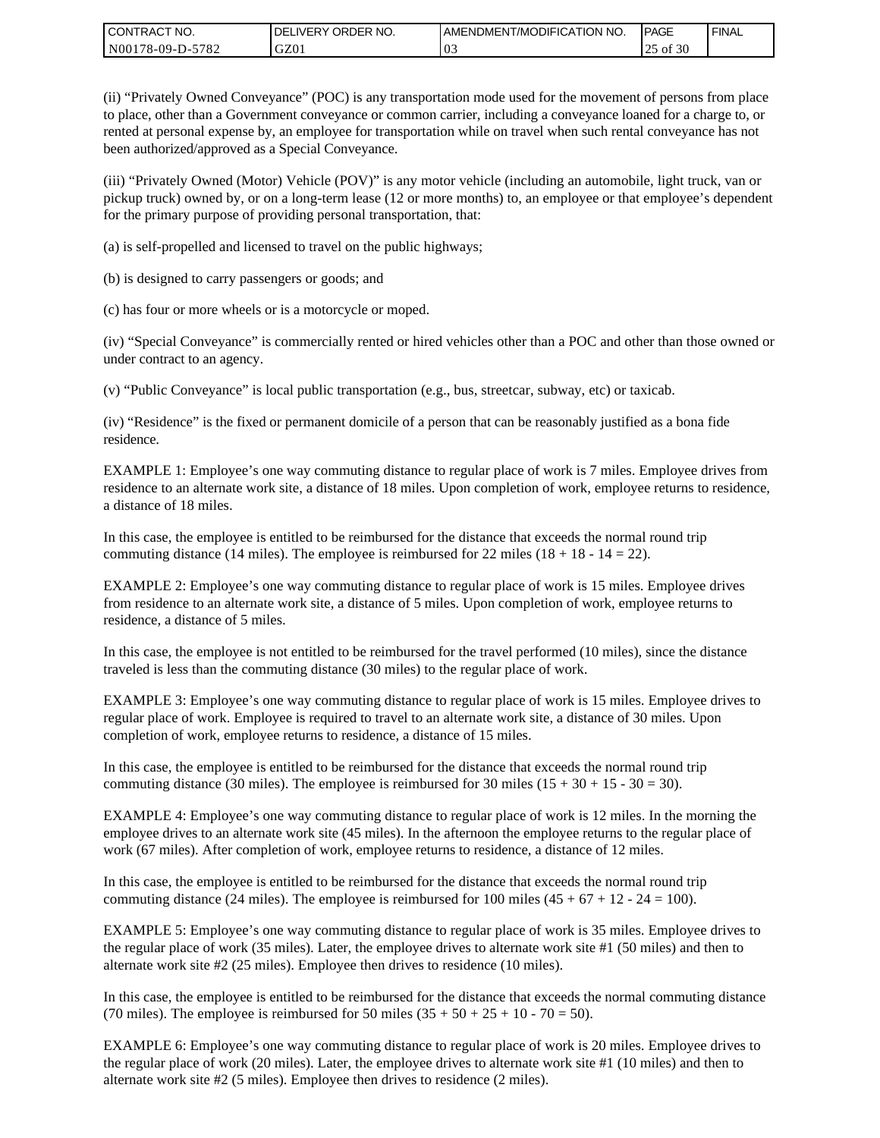| <b>CONTRACT NO.</b> | <b>IDELIVERY ORDER NO.</b> | I AMENDMENT/MODIFICATION NO. | <b>PAGE</b> | <b>FINAL</b> |
|---------------------|----------------------------|------------------------------|-------------|--------------|
| N00178-09-D-5782    | GZ0 <sub>1</sub>           | ົ∪≂                          | of 30<br>رے |              |

(ii) "Privately Owned Conveyance" (POC) is any transportation mode used for the movement of persons from place to place, other than a Government conveyance or common carrier, including a conveyance loaned for a charge to, or rented at personal expense by, an employee for transportation while on travel when such rental conveyance has not been authorized/approved as a Special Conveyance.

(iii) "Privately Owned (Motor) Vehicle (POV)" is any motor vehicle (including an automobile, light truck, van or pickup truck) owned by, or on a long-term lease (12 or more months) to, an employee or that employee's dependent for the primary purpose of providing personal transportation, that:

(a) is self-propelled and licensed to travel on the public highways;

(b) is designed to carry passengers or goods; and

(c) has four or more wheels or is a motorcycle or moped.

(iv) "Special Conveyance" is commercially rented or hired vehicles other than a POC and other than those owned or under contract to an agency.

(v) "Public Conveyance" is local public transportation (e.g., bus, streetcar, subway, etc) or taxicab.

(iv) "Residence" is the fixed or permanent domicile of a person that can be reasonably justified as a bona fide residence.

EXAMPLE 1: Employee's one way commuting distance to regular place of work is 7 miles. Employee drives from residence to an alternate work site, a distance of 18 miles. Upon completion of work, employee returns to residence, a distance of 18 miles.

In this case, the employee is entitled to be reimbursed for the distance that exceeds the normal round trip commuting distance (14 miles). The employee is reimbursed for 22 miles (18 + 18 - 14 = 22).

EXAMPLE 2: Employee's one way commuting distance to regular place of work is 15 miles. Employee drives from residence to an alternate work site, a distance of 5 miles. Upon completion of work, employee returns to residence, a distance of 5 miles.

In this case, the employee is not entitled to be reimbursed for the travel performed (10 miles), since the distance traveled is less than the commuting distance (30 miles) to the regular place of work.

EXAMPLE 3: Employee's one way commuting distance to regular place of work is 15 miles. Employee drives to regular place of work. Employee is required to travel to an alternate work site, a distance of 30 miles. Upon completion of work, employee returns to residence, a distance of 15 miles.

In this case, the employee is entitled to be reimbursed for the distance that exceeds the normal round trip commuting distance (30 miles). The employee is reimbursed for 30 miles  $(15 + 30 + 15 - 30 = 30)$ .

EXAMPLE 4: Employee's one way commuting distance to regular place of work is 12 miles. In the morning the employee drives to an alternate work site (45 miles). In the afternoon the employee returns to the regular place of work (67 miles). After completion of work, employee returns to residence, a distance of 12 miles.

In this case, the employee is entitled to be reimbursed for the distance that exceeds the normal round trip commuting distance (24 miles). The employee is reimbursed for 100 miles  $(45 + 67 + 12 - 24 = 100)$ .

EXAMPLE 5: Employee's one way commuting distance to regular place of work is 35 miles. Employee drives to the regular place of work (35 miles). Later, the employee drives to alternate work site #1 (50 miles) and then to alternate work site #2 (25 miles). Employee then drives to residence (10 miles).

In this case, the employee is entitled to be reimbursed for the distance that exceeds the normal commuting distance (70 miles). The employee is reimbursed for 50 miles  $(35 + 50 + 25 + 10 - 70 = 50)$ .

EXAMPLE 6: Employee's one way commuting distance to regular place of work is 20 miles. Employee drives to the regular place of work (20 miles). Later, the employee drives to alternate work site #1 (10 miles) and then to alternate work site #2 (5 miles). Employee then drives to residence (2 miles).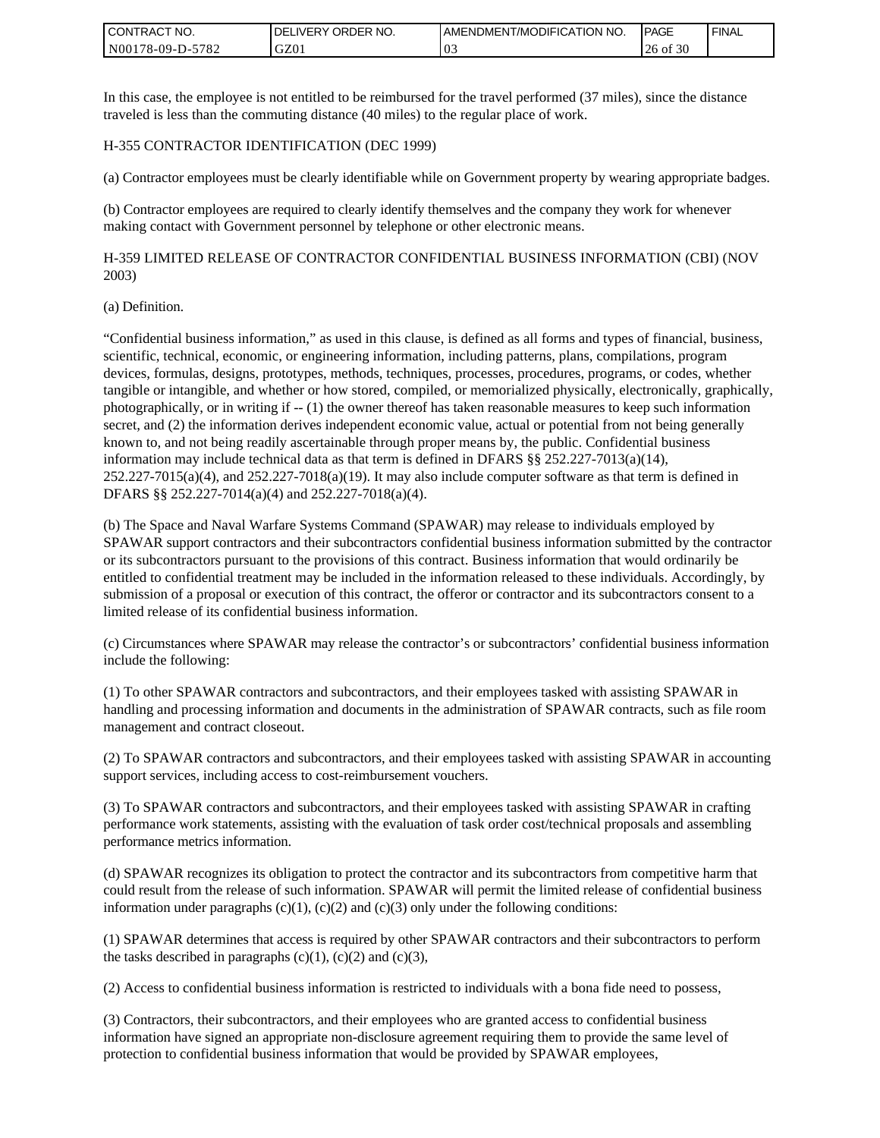| <b>CONTRACT NO.</b> | <b>IDELIVERY ORDER NO.</b> | I AMENDMENT/MODIFICATION NO. | <b>PAGE</b>   | <b>FINAL</b> |
|---------------------|----------------------------|------------------------------|---------------|--------------|
| N00178-09-D-5782    | GZ0 <sub>1</sub>           | ົ∪≂                          | of $30$<br>26 |              |

In this case, the employee is not entitled to be reimbursed for the travel performed (37 miles), since the distance traveled is less than the commuting distance (40 miles) to the regular place of work.

### H-355 CONTRACTOR IDENTIFICATION (DEC 1999)

(a) Contractor employees must be clearly identifiable while on Government property by wearing appropriate badges.

(b) Contractor employees are required to clearly identify themselves and the company they work for whenever making contact with Government personnel by telephone or other electronic means.

H-359 LIMITED RELEASE OF CONTRACTOR CONFIDENTIAL BUSINESS INFORMATION (CBI) (NOV 2003)

#### (a) Definition.

"Confidential business information," as used in this clause, is defined as all forms and types of financial, business, scientific, technical, economic, or engineering information, including patterns, plans, compilations, program devices, formulas, designs, prototypes, methods, techniques, processes, procedures, programs, or codes, whether tangible or intangible, and whether or how stored, compiled, or memorialized physically, electronically, graphically, photographically, or in writing if -- (1) the owner thereof has taken reasonable measures to keep such information secret, and (2) the information derives independent economic value, actual or potential from not being generally known to, and not being readily ascertainable through proper means by, the public. Confidential business information may include technical data as that term is defined in DFARS §§ 252.227-7013(a)(14),  $252.227-7015(a)(4)$ , and  $252.227-7018(a)(19)$ . It may also include computer software as that term is defined in DFARS §§ 252.227-7014(a)(4) and 252.227-7018(a)(4). **CONTRACT NO.** (2012) 202227:701 Solution to confidential business information to confidential business information that were also be expected by SPAWAR employees in a material of the state of the state of the state of th

(b) The Space and Naval Warfare Systems Command (SPAWAR) may release to individuals employed by SPAWAR support contractors and their subcontractors confidential business information submitted by the contractor or its subcontractors pursuant to the provisions of this contract. Business information that would ordinarily be entitled to confidential treatment may be included in the information released to these individuals. Accordingly, by submission of a proposal or execution of this contract, the offeror or contractor and its subcontractors consent to a limited release of its confidential business information.

(c) Circumstances where SPAWAR may release the contractor's or subcontractors' confidential business information include the following:

(1) To other SPAWAR contractors and subcontractors, and their employees tasked with assisting SPAWAR in handling and processing information and documents in the administration of SPAWAR contracts, such as file room management and contract closeout.

(2) To SPAWAR contractors and subcontractors, and their employees tasked with assisting SPAWAR in accounting support services, including access to cost-reimbursement vouchers.

(3) To SPAWAR contractors and subcontractors, and their employees tasked with assisting SPAWAR in crafting performance work statements, assisting with the evaluation of task order cost/technical proposals and assembling performance metrics information.

(d) SPAWAR recognizes its obligation to protect the contractor and its subcontractors from competitive harm that could result from the release of such information. SPAWAR will permit the limited release of confidential business information under paragraphs  $(c)(1)$ ,  $(c)(2)$  and  $(c)(3)$  only under the following conditions:

(1) SPAWAR determines that access is required by other SPAWAR contractors and their subcontractors to perform the tasks described in paragraphs  $(c)(1)$ ,  $(c)(2)$  and  $(c)(3)$ ,

(2) Access to confidential business information is restricted to individuals with a bona fide need to possess,

(3) Contractors, their subcontractors, and their employees who are granted access to confidential business information have signed an appropriate non-disclosure agreement requiring them to provide the same level of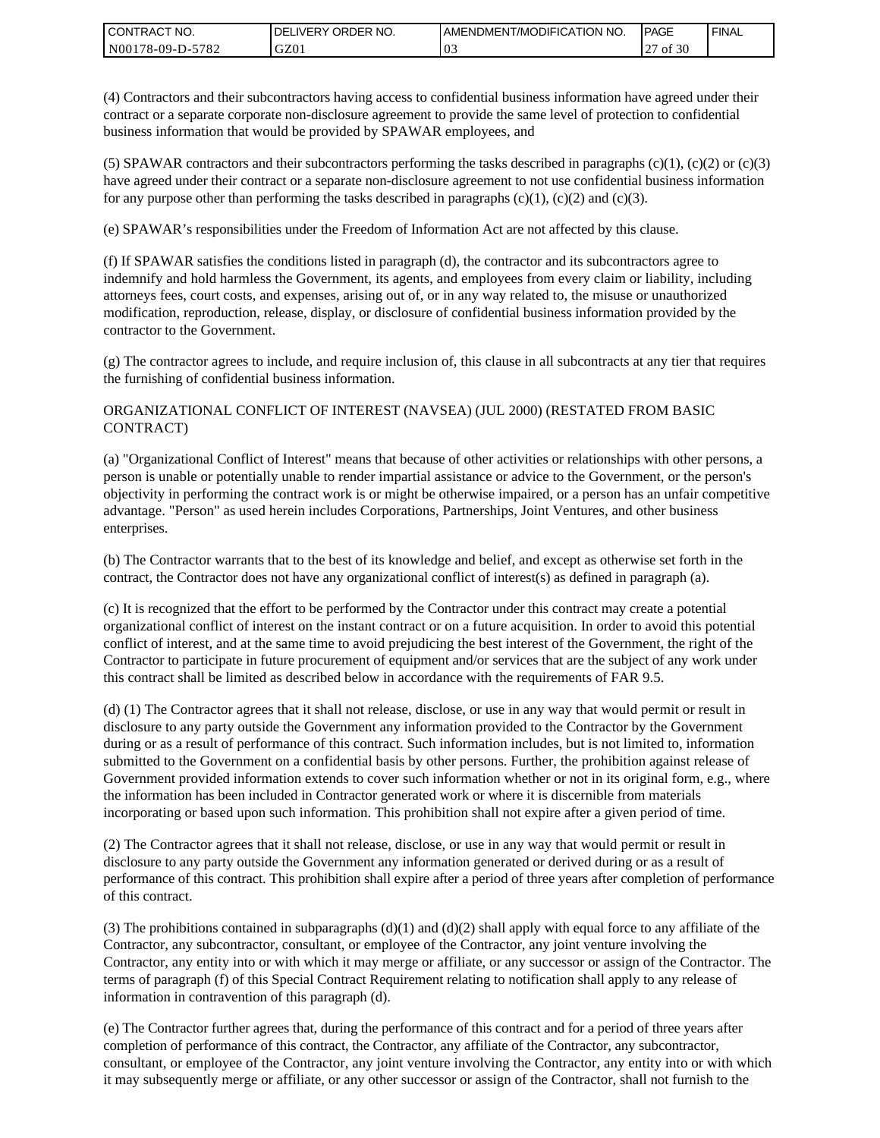| <b>CONTRACT NO.</b> | ' ORDER NO.<br><b>DELIVERY</b> | <b>I AMENDMENT/MODIFICATION NO.</b> | <b>PAGE</b> | <b>FINAL</b> |
|---------------------|--------------------------------|-------------------------------------|-------------|--------------|
| N00178-09-D-5782    | GZ01                           | U.,                                 | of 30       |              |

(4) Contractors and their subcontractors having access to confidential business information have agreed under their contract or a separate corporate non-disclosure agreement to provide the same level of protection to confidential business information that would be provided by SPAWAR employees, and

(5) SPAWAR contractors and their subcontractors performing the tasks described in paragraphs  $(c)(1)$ ,  $(c)(2)$  or  $(c)(3)$ have agreed under their contract or a separate non-disclosure agreement to not use confidential business information for any purpose other than performing the tasks described in paragraphs  $(c)(1)$ ,  $(c)(2)$  and  $(c)(3)$ .

(e) SPAWAR's responsibilities under the Freedom of Information Act are not affected by this clause.

(f) If SPAWAR satisfies the conditions listed in paragraph (d), the contractor and its subcontractors agree to indemnify and hold harmless the Government, its agents, and employees from every claim or liability, including attorneys fees, court costs, and expenses, arising out of, or in any way related to, the misuse or unauthorized modification, reproduction, release, display, or disclosure of confidential business information provided by the contractor to the Government.

(g) The contractor agrees to include, and require inclusion of, this clause in all subcontracts at any tier that requires the furnishing of confidential business information.

### ORGANIZATIONAL CONFLICT OF INTEREST (NAVSEA) (JUL 2000) (RESTATED FROM BASIC CONTRACT)

(a) "Organizational Conflict of Interest" means that because of other activities or relationships with other persons, a person is unable or potentially unable to render impartial assistance or advice to the Government, or the person's objectivity in performing the contract work is or might be otherwise impaired, or a person has an unfair competitive advantage. "Person" as used herein includes Corporations, Partnerships, Joint Ventures, and other business enterprises.

(b) The Contractor warrants that to the best of its knowledge and belief, and except as otherwise set forth in the contract, the Contractor does not have any organizational conflict of interest(s) as defined in paragraph (a).

(c) It is recognized that the effort to be performed by the Contractor under this contract may create a potential organizational conflict of interest on the instant contract or on a future acquisition. In order to avoid this potential conflict of interest, and at the same time to avoid prejudicing the best interest of the Government, the right of the Contractor to participate in future procurement of equipment and/or services that are the subject of any work under this contract shall be limited as described below in accordance with the requirements of FAR 9.5.

(d) (1) The Contractor agrees that it shall not release, disclose, or use in any way that would permit or result in disclosure to any party outside the Government any information provided to the Contractor by the Government during or as a result of performance of this contract. Such information includes, but is not limited to, information submitted to the Government on a confidential basis by other persons. Further, the prohibition against release of Government provided information extends to cover such information whether or not in its original form, e.g., where the information has been included in Contractor generated work or where it is discernible from materials incorporating or based upon such information. This prohibition shall not expire after a given period of time.

(2) The Contractor agrees that it shall not release, disclose, or use in any way that would permit or result in disclosure to any party outside the Government any information generated or derived during or as a result of performance of this contract. This prohibition shall expire after a period of three years after completion of performance of this contract.

(3) The prohibitions contained in subparagraphs  $(d)(1)$  and  $(d)(2)$  shall apply with equal force to any affiliate of the Contractor, any subcontractor, consultant, or employee of the Contractor, any joint venture involving the Contractor, any entity into or with which it may merge or affiliate, or any successor or assign of the Contractor. The terms of paragraph (f) of this Special Contract Requirement relating to notification shall apply to any release of information in contravention of this paragraph (d).

(e) The Contractor further agrees that, during the performance of this contract and for a period of three years after completion of performance of this contract, the Contractor, any affiliate of the Contractor, any subcontractor, consultant, or employee of the Contractor, any joint venture involving the Contractor, any entity into or with which it may subsequently merge or affiliate, or any other successor or assign of the Contractor, shall not furnish to the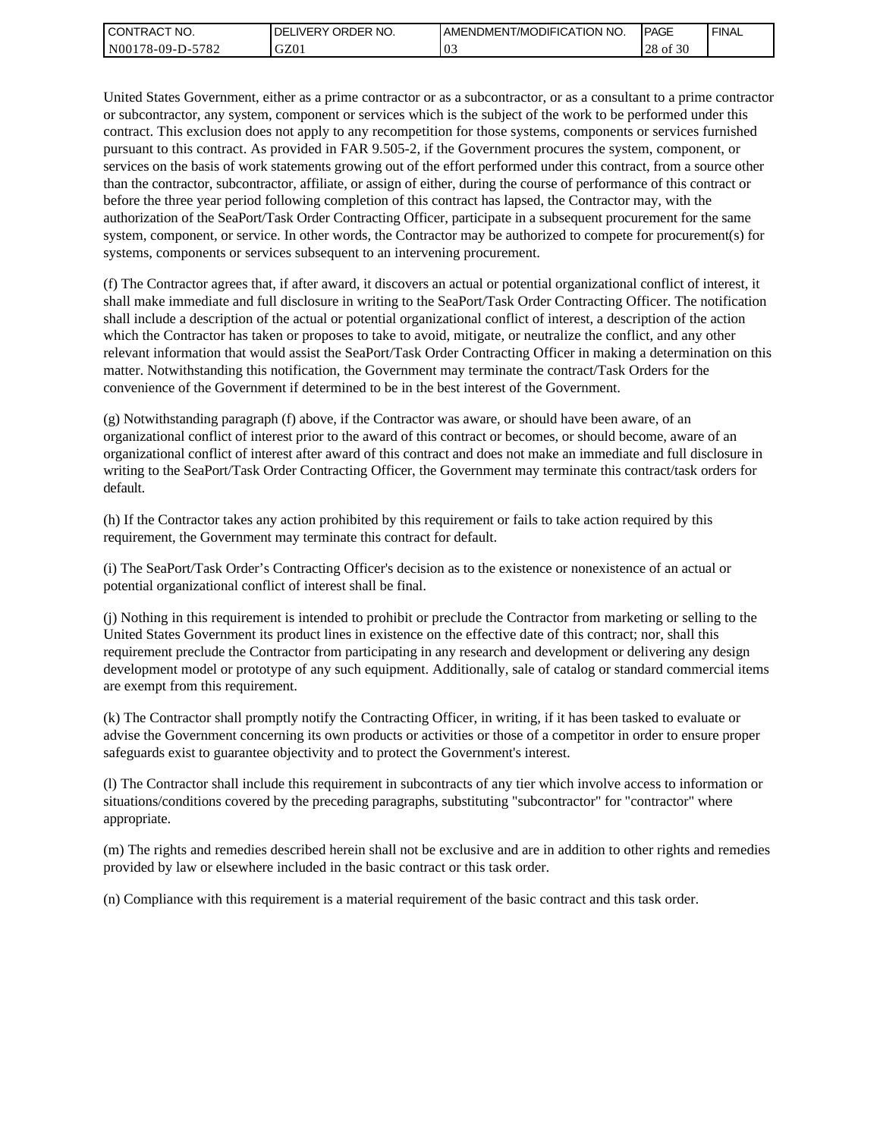| I CONTRACT NO.   | ' ORDER NO.<br><b>DELI</b><br>_IVERY | I AMENDMENT/MODIFICATION NO. | <b>IPAGE</b>        | <b>FINAL</b> |
|------------------|--------------------------------------|------------------------------|---------------------|--------------|
| N00178-09-D-5782 | GZ01                                 | vJ                           | c no<br>28<br>of 30 |              |

United States Government, either as a prime contractor or as a subcontractor, or as a consultant to a prime contractor or subcontractor, any system, component or services which is the subject of the work to be performed under this contract. This exclusion does not apply to any recompetition for those systems, components or services furnished pursuant to this contract. As provided in FAR 9.505-2, if the Government procures the system, component, or services on the basis of work statements growing out of the effort performed under this contract, from a source other than the contractor, subcontractor, affiliate, or assign of either, during the course of performance of this contract or before the three year period following completion of this contract has lapsed, the Contractor may, with the authorization of the SeaPort/Task Order Contracting Officer, participate in a subsequent procurement for the same system, component, or service. In other words, the Contractor may be authorized to compete for procurement(s) for systems, components or services subsequent to an intervening procurement.

(f) The Contractor agrees that, if after award, it discovers an actual or potential organizational conflict of interest, it shall make immediate and full disclosure in writing to the SeaPort/Task Order Contracting Officer. The notification shall include a description of the actual or potential organizational conflict of interest, a description of the action which the Contractor has taken or proposes to take to avoid, mitigate, or neutralize the conflict, and any other relevant information that would assist the SeaPort/Task Order Contracting Officer in making a determination on this matter. Notwithstanding this notification, the Government may terminate the contract/Task Orders for the convenience of the Government if determined to be in the best interest of the Government.

(g) Notwithstanding paragraph (f) above, if the Contractor was aware, or should have been aware, of an organizational conflict of interest prior to the award of this contract or becomes, or should become, aware of an organizational conflict of interest after award of this contract and does not make an immediate and full disclosure in writing to the SeaPort/Task Order Contracting Officer, the Government may terminate this contract/task orders for default.

(h) If the Contractor takes any action prohibited by this requirement or fails to take action required by this requirement, the Government may terminate this contract for default.

(i) The SeaPort/Task Order's Contracting Officer's decision as to the existence or nonexistence of an actual or potential organizational conflict of interest shall be final.

(j) Nothing in this requirement is intended to prohibit or preclude the Contractor from marketing or selling to the United States Government its product lines in existence on the effective date of this contract; nor, shall this requirement preclude the Contractor from participating in any research and development or delivering any design development model or prototype of any such equipment. Additionally, sale of catalog or standard commercial items are exempt from this requirement.

(k) The Contractor shall promptly notify the Contracting Officer, in writing, if it has been tasked to evaluate or advise the Government concerning its own products or activities or those of a competitor in order to ensure proper safeguards exist to guarantee objectivity and to protect the Government's interest.

(l) The Contractor shall include this requirement in subcontracts of any tier which involve access to information or situations/conditions covered by the preceding paragraphs, substituting "subcontractor" for "contractor" where appropriate.

(m) The rights and remedies described herein shall not be exclusive and are in addition to other rights and remedies provided by law or elsewhere included in the basic contract or this task order.

(n) Compliance with this requirement is a material requirement of the basic contract and this task order.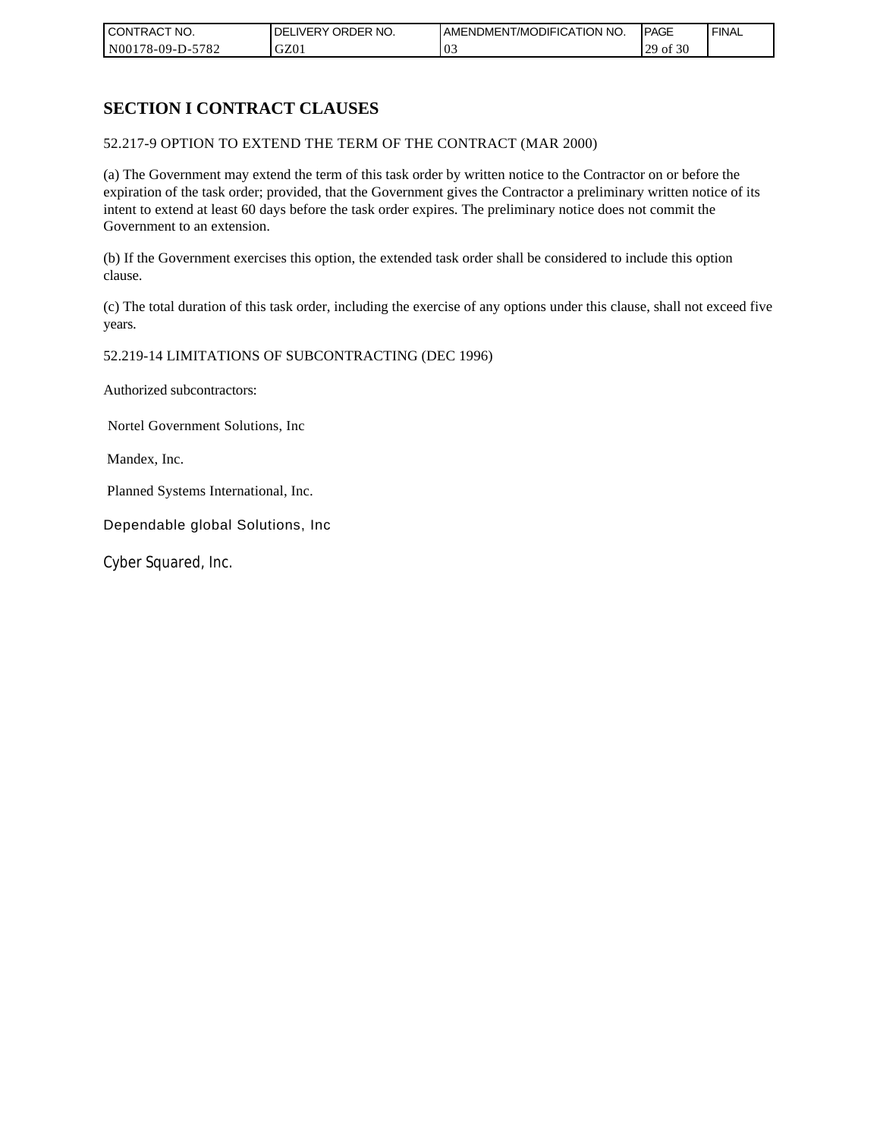| CONTRACT NO.     | NO.<br>ORDER<br>DELI<br>.IVERY | AMENDMENT/MODIFICATION NO. | <b>IPAGE</b>            | <b>FINAL</b> |
|------------------|--------------------------------|----------------------------|-------------------------|--------------|
| N00178-09-D-5782 | GZ01                           | v.                         | f 30<br>ാവ<br>`01<br>رے |              |

# **SECTION I CONTRACT CLAUSES**

### 52.217-9 OPTION TO EXTEND THE TERM OF THE CONTRACT (MAR 2000)

(a) The Government may extend the term of this task order by written notice to the Contractor on or before the expiration of the task order; provided, that the Government gives the Contractor a preliminary written notice of its intent to extend at least 60 days before the task order expires. The preliminary notice does not commit the Government to an extension.

(b) If the Government exercises this option, the extended task order shall be considered to include this option clause.

(c) The total duration of this task order, including the exercise of any options under this clause, shall not exceed five years.

### 52.219-14 LIMITATIONS OF SUBCONTRACTING (DEC 1996)

Authorized subcontractors:

Nortel Government Solutions, Inc

Mandex, Inc.

Planned Systems International, Inc.

Dependable global Solutions, Inc

Cyber Squared, Inc.